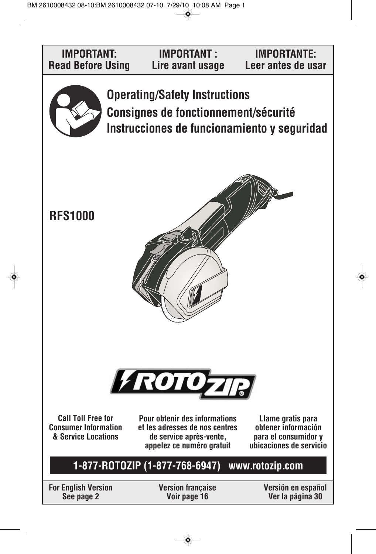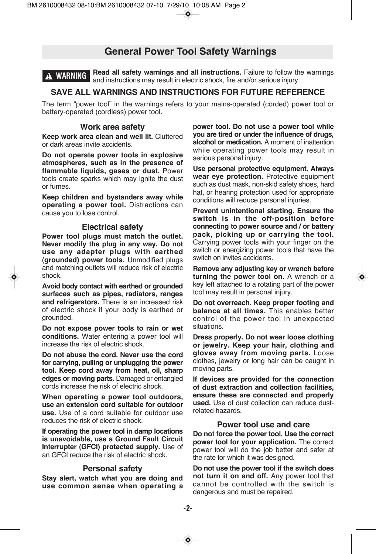# **General Power Tool Safety Warnings**

**Read all safety warnings and all instructions.** Failure to follow the warnings and instructions may result in electric shock, fire and/or serious injury. **! WARNING**

# **SAVE ALL WARNINGS AND INSTRUCTIONS FOR FUTURE REFERENCE**

The term "power tool" in the warnings refers to your mains-operated (corded) power tool or battery-operated (cordless) power tool.

### **Work area safety**

**Keep work area clean and well lit.** Cluttered or dark areas invite accidents.

**Do not operate power tools in explosive atmospheres, such as in the presence of flammable liquids, gases or dust.** Power tools create sparks which may ignite the dust or fumes.

**Keep children and bystanders away while operating a power tool.** Distractions can cause you to lose control.

### **Electrical safety**

**Power tool plugs must match the outlet. Never modify the plug in any way. Do not use any adapter plugs with earthed (grounded) power tools.** Unmodified plugs and matching outlets will reduce risk of electric shock.

**Avoid body contact with earthed or grounded surfaces such as pipes, radiators, ranges and refrigerators.** There is an increased risk of electric shock if your body is earthed or grounded.

**Do not expose power tools to rain or wet conditions.** Water entering a power tool will increase the risk of electric shock.

**Do not abuse the cord. Never use the cord for carrying, pulling or unplugging the power tool. Keep cord away from heat, oil, sharp edges or moving parts.** Damaged or entangled cords increase the risk of electric shock.

**When operating a power tool outdoors, use an extension cord suitable for outdoor use.** Use of a cord suitable for outdoor use reduces the risk of electric shock.

**If operating the power tool in damp locations is unavoidable, use a Ground Fault Circuit Interrupter (GFCI) protected supply.** Use of an GFCI reduce the risk of electric shock.

#### **Personal safety**

**Stay alert, watch what you are doing and use common sense when operating a** **power tool. Do not use a power tool while you are tired or under the influence of drugs, alcohol or medication.** A moment of inattention while operating power tools may result in serious personal injury.

**Use personal protective equipment. Always wear eye protection.** Protective equipment such as dust mask, non-skid safety shoes, hard hat, or hearing protection used for appropriate conditions will reduce personal injuries.

**Prevent unintentional starting. Ensure the switch is in the off-position before connecting to power source and / or battery pack, picking up or carrying the tool.** Carrying power tools with your finger on the switch or energizing power tools that have the switch on invites accidents.

**Remove any adjusting key or wrench before turning the power tool on.** A wrench or a key left attached to a rotating part of the power tool may result in personal injury.

**Do not overreach. Keep proper footing and balance at all times.** This enables better control of the power tool in unexpected situations.

**Dress properly. Do not wear loose clothing or jewelry. Keep your hair, clothing and gloves away from moving parts.** Loose clothes, jewelry or long hair can be caught in moving parts.

**If devices are provided for the connection of dust extraction and collection facilities, ensure these are connected and properly used.** Use of dust collection can reduce dustrelated hazards.

### **Power tool use and care**

**Do not force the power tool. Use the correct power tool for your application.** The correct power tool will do the job better and safer at the rate for which it was designed.

**Do not use the power tool if the switch does not turn it on and off.** Any power tool that cannot be controlled with the switch is dangerous and must be repaired.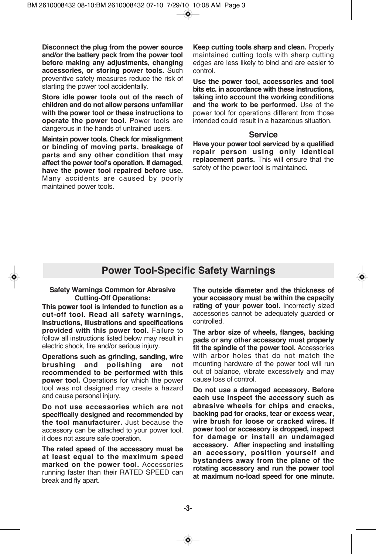**Disconnect the plug from the power source and/or the battery pack from the power tool before making any adjustments, changing accessories, or storing power tools.** Such preventive safety measures reduce the risk of starting the power tool accidentally.

**Store idle power tools out of the reach of children and do not allow persons unfamiliar with the power tool or these instructions to operate the power tool.** Power tools are dangerous in the hands of untrained users.

**Maintain power tools. Check for misalignment or binding of moving parts, breakage of parts and any other condition that may affect the power tool's operation. If damaged, have the power tool repaired before use.** Many accidents are caused by poorly maintained power tools.

**Keep cutting tools sharp and clean.** Properly maintained cutting tools with sharp cutting edges are less likely to bind and are easier to control.

**Use the power tool, accessories and tool bits etc. in accordance with these instructions, taking into account the working conditions and the work to be performed.** Use of the power tool for operations different from those intended could result in a hazardous situation.

#### **Service**

**Have your power tool serviced by a qualified repair person using only identical replacement parts.** This will ensure that the safety of the power tool is maintained.

# **Power Tool-Specific Safety Warnings**

#### **Safety Warnings Common for Abrasive Cutting-Off Operations:**

**This power tool is intended to function as a cut-off tool. Read all safety warnings, instructions, illustrations and specifications provided with this power tool.** Failure to follow all instructions listed below may result in electric shock, fire and/or serious injury.

**Operations such as grinding, sanding, wire brushing and polishing are not recommended to be performed with this power tool.** Operations for which the power tool was not designed may create a hazard and cause personal injury.

**Do not use accessories which are not specifically designed and recommended by the tool manufacturer.** Just because the accessory can be attached to your power tool, it does not assure safe operation.

**The rated speed of the accessory must be at least equal to the maximum speed marked on the power tool.** Accessories running faster than their RATED SPEED can break and fly apart.

**The outside diameter and the thickness of your accessory must be within the capacity rating of your power tool.** Incorrectly sized accessories cannot be adequately guarded or controlled.

**The arbor size of wheels, flanges, backing pads or any other accessory must properly fit the spindle of the power tool.** Accessories with arbor holes that do not match the mounting hardware of the power tool will run out of balance, vibrate excessively and may cause loss of control.

**Do not use a damaged accessory. Before each use inspect the accessory such as abrasive wheels for chips and cracks, backing pad for cracks, tear or excess wear, wire brush for loose or cracked wires. If power tool or accessory is dropped, inspect for damage or install an undamaged accessory. After inspecting and installing an accessory, position yourself and bystanders away from the plane of the rotating accessory and run the power tool at maximum no-load speed for one minute.**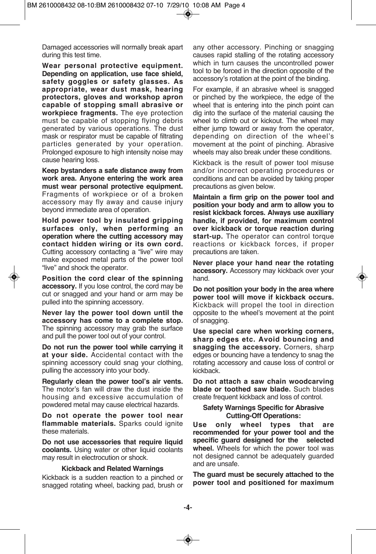Damaged accessories will normally break apart during this test time.

**Wear personal protective equipment. Depending on application, use face shield, safety goggles or safety glasses. As appropriate, wear dust mask, hearing protectors, gloves and workshop apron capable of stopping small abrasive or workpiece fragments.** The eye protection must be capable of stopping flying debris generated by various operations. The dust mask or respirator must be capable of filtrating particles generated by your operation. Prolonged exposure to high intensity noise may cause hearing loss.

**Keep bystanders a safe distance away from work area. Anyone entering the work area must wear personal protective equipment.** Fragments of workpiece or of a broken accessory may fly away and cause injury beyond immediate area of operation.

**Hold power tool by insulated gripping surfaces only, when performing an operation where the cutting accessory may contact hidden wiring or its own cord.** Cutting accessory contacting a "live" wire may make exposed metal parts of the power tool "live" and shock the operator.

**Position the cord clear of the spinning accessory.** If you lose control, the cord may be cut or snagged and your hand or arm may be pulled into the spinning accessory.

**Never lay the power tool down until the accessory has come to a complete stop.** The spinning accessory may grab the surface and pull the power tool out of your control.

**Do not run the power tool while carrying it at your side.** Accidental contact with the spinning accessory could snag your clothing, pulling the accessory into your body.

**Regularly clean the power tool's air vents.** The motor's fan will draw the dust inside the housing and excessive accumulation of powdered metal may cause electrical hazards.

**Do not operate the power tool near flammable materials.** Sparks could ignite these materials.

**Do not use accessories that require liquid coolants.** Using water or other liquid coolants may result in electrocution or shock.

#### **Kickback and Related Warnings**

Kickback is a sudden reaction to a pinched or snagged rotating wheel, backing pad, brush or any other accessory. Pinching or snagging causes rapid stalling of the rotating accessory which in turn causes the uncontrolled power tool to be forced in the direction opposite of the accessory's rotation at the point of the binding.

For example, if an abrasive wheel is snagged or pinched by the workpiece, the edge of the wheel that is entering into the pinch point can dig into the surface of the material causing the wheel to climb out or kickout. The wheel may either jump toward or away from the operator, depending on direction of the wheel's movement at the point of pinching. Abrasive wheels may also break under these conditions.

Kickback is the result of power tool misuse and/or incorrect operating procedures or conditions and can be avoided by taking proper precautions as given below.

**Maintain a firm grip on the power tool and position your body and arm to allow you to resist kickback forces. Always use auxiliary handle, if provided, for maximum control over kickback or torque reaction during start-up.** The operator can control torque reactions or kickback forces, if proper precautions are taken.

**Never place your hand near the rotating accessory.** Accessory may kickback over your hand.

**Do not position your body in the area where power tool will move if kickback occurs.** Kickback will propel the tool in direction opposite to the wheel's movement at the point of snagging.

**Use special care when working corners, sharp edges etc. Avoid bouncing and snagging the accessory.** Corners, sharp edges or bouncing have a tendency to snag the rotating accessory and cause loss of control or kickback.

**Do not attach a saw chain woodcarving blade or toothed saw blade.** Such blades create frequent kickback and loss of control.

### **Safety Warnings Specific for Abrasive Cutting-Off Operations:**

**Use only wheel types that are recommended for your power tool and the specific guard designed for the selected wheel.** Wheels for which the power tool was not designed cannot be adequately guarded and are unsafe.

**The guard must be securely attached to the power tool and positioned for maximum**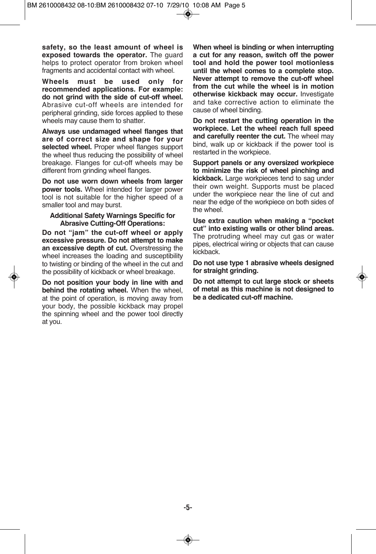**safety, so the least amount of wheel is exposed towards the operator.** The guard helps to protect operator from broken wheel fragments and accidental contact with wheel.

**Wheels must be used only for recommended applications. For example: do not grind with the side of cut-off wheel.** Abrasive cut-off wheels are intended for peripheral grinding, side forces applied to these wheels may cause them to shatter.

**Always use undamaged wheel flanges that are of correct size and shape for your selected wheel.** Proper wheel flanges support the wheel thus reducing the possibility of wheel breakage. Flanges for cut-off wheels may be different from grinding wheel flanges.

**Do not use worn down wheels from larger power tools.** Wheel intended for larger power tool is not suitable for the higher speed of a smaller tool and may burst.

### **Additional Safety Warnings Specific for Abrasive Cutting-Off Operations:**

**Do not "jam" the cut-off wheel or apply excessive pressure. Do not attempt to make an excessive depth of cut.** Overstressing the wheel increases the loading and susceptibility to twisting or binding of the wheel in the cut and the possibility of kickback or wheel breakage.

**Do not position your body in line with and behind the rotating wheel.** When the wheel, at the point of operation, is moving away from your body, the possible kickback may propel the spinning wheel and the power tool directly at you.

**When wheel is binding or when interrupting a cut for any reason, switch off the power tool and hold the power tool motionless until the wheel comes to a complete stop. Never attempt to remove the cut-off wheel from the cut while the wheel is in motion otherwise kickback may occur.** Investigate and take corrective action to eliminate the cause of wheel binding.

**Do not restart the cutting operation in the workpiece. Let the wheel reach full speed and carefully reenter the cut.** The wheel may bind, walk up or kickback if the power tool is restarted in the workpiece.

**Support panels or any oversized workpiece to minimize the risk of wheel pinching and kickback.** Large workpieces tend to sag under their own weight. Supports must be placed under the workpiece near the line of cut and near the edge of the workpiece on both sides of the wheel.

**Use extra caution when making a "pocket cut" into existing walls or other blind areas.** The protruding wheel may cut gas or water pipes, electrical wiring or objects that can cause kickback.

**Do not use type 1 abrasive wheels designed for straight grinding.**

**Do not attempt to cut large stock or sheets of metal as this machine is not designed to be a dedicated cut-off machine.**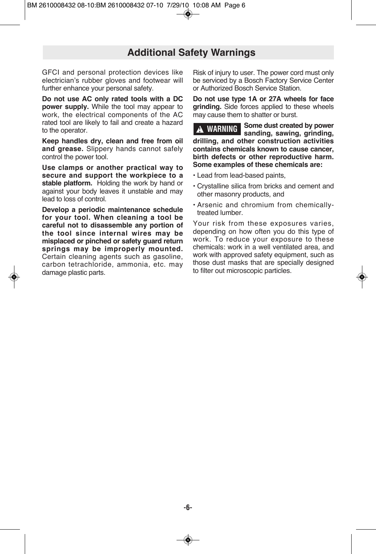# **Additional Safety Warnings**

GFCI and personal protection devices like electrician's rubber gloves and footwear will further enhance your personal safety.

**Do not use AC only rated tools with a DC power supply.** While the tool may appear to work, the electrical components of the AC rated tool are likely to fail and create a hazard to the operator.

**Keep handles dry, clean and free from oil and grease.** Slippery hands cannot safely control the power tool.

**Use clamps or another practical way to secure and support the workpiece to a stable platform.** Holding the work by hand or against your body leaves it unstable and may lead to loss of control.

**Develop a periodic maintenance schedule for your tool. When cleaning a tool be careful not to disassemble any portion of the tool since internal wires may be misplaced or pinched or safety guard return springs may be improperly mounted.** Certain cleaning agents such as gasoline, carbon tetrachloride, ammonia, etc. may damage plastic parts.

Risk of injury to user. The power cord must only be serviced by a Bosch Factory Service Center or Authorized Bosch Service Station.

**Do not use type 1A or 27A wheels for face grinding.** Side forces applied to these wheels may cause them to shatter or burst.

**Some dust created by power sanding, sawing, grinding, drilling, and other construction activities contains chemicals known to cause cancer, birth defects or other reproductive harm. Some examples of these chemicals are: ! WARNING**

- Lead from lead-based paints,
- Crystalline silica from bricks and cement and other masonry products, and
- Arsenic and chromium from chemicallytreated lumber.

Your risk from these exposures varies, depending on how often you do this type of work. To reduce your exposure to these chemicals: work in a well ventilated area, and work with approved safety equipment, such as those dust masks that are specially designed to filter out microscopic particles.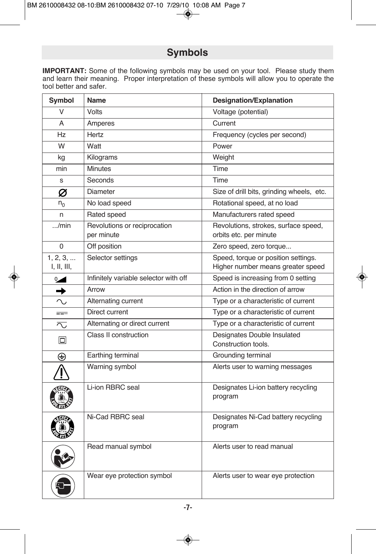# **Symbols**

**IMPORTANT:** Some of the following symbols may be used on your tool. Please study them and learn their meaning. Proper interpretation of these symbols will allow you to operate the tool better and safer.

| Symbol                   | <b>Name</b>                                | Designation/Explanation                                                  |  |  |  |  |
|--------------------------|--------------------------------------------|--------------------------------------------------------------------------|--|--|--|--|
| $\vee$                   | Volts                                      | Voltage (potential)                                                      |  |  |  |  |
| A                        | Amperes                                    | Current                                                                  |  |  |  |  |
| Hz                       | Hertz                                      | Frequency (cycles per second)                                            |  |  |  |  |
| W                        | Watt                                       | Power                                                                    |  |  |  |  |
| kg                       | Kilograms                                  | Weight                                                                   |  |  |  |  |
| min                      | <b>Minutes</b>                             | Time                                                                     |  |  |  |  |
| s                        | Seconds                                    | Time                                                                     |  |  |  |  |
| Ø                        | Diameter                                   | Size of drill bits, grinding wheels, etc.                                |  |  |  |  |
| $n_{0}$                  | No load speed                              | Rotational speed, at no load                                             |  |  |  |  |
| n                        | Rated speed                                | Manufacturers rated speed                                                |  |  |  |  |
| $$ /min                  | Revolutions or reciprocation<br>per minute | Revolutions, strokes, surface speed,<br>orbits etc. per minute           |  |  |  |  |
| $\mathbf 0$              | Off position                               | Zero speed, zero torque                                                  |  |  |  |  |
| 1, 2, 3,<br>I, II, III,  | Selector settings                          | Speed, torque or position settings.<br>Higher number means greater speed |  |  |  |  |
| $\sim$                   | Infinitely variable selector with off      | Speed is increasing from 0 setting                                       |  |  |  |  |
| →                        | Arrow                                      | Action in the direction of arrow                                         |  |  |  |  |
| ∿                        | Alternating current                        | Type or a characteristic of current                                      |  |  |  |  |
| $=$                      | Direct current                             | Type or a characteristic of current                                      |  |  |  |  |
| $\overline{\mathcal{N}}$ | Alternating or direct current              | Type or a characteristic of current                                      |  |  |  |  |
| $\square$                | Class II construction                      | Designates Double Insulated<br>Construction tools.                       |  |  |  |  |
| ⊕                        | Earthing terminal                          | Grounding terminal                                                       |  |  |  |  |
|                          | Warning symbol                             | Alerts user to warning messages                                          |  |  |  |  |
|                          | Li-ion RBRC seal                           | Designates Li-ion battery recycling<br>program                           |  |  |  |  |
|                          | Ni-Cad RBRC seal                           | Designates Ni-Cad battery recycling<br>program                           |  |  |  |  |
|                          | Read manual symbol                         | Alerts user to read manual                                               |  |  |  |  |
|                          | Wear eye protection symbol                 | Alerts user to wear eye protection                                       |  |  |  |  |

**-7-**

◈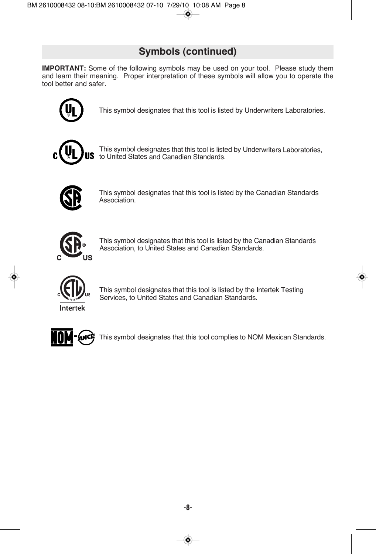# **Symbols (continued)**

**IMPORTANT:** Some of the following symbols may be used on your tool. Please study them and learn their meaning. Proper interpretation of these symbols will allow you to operate the tool better and safer.



This symbol designates that this tool is listed by Underwriters Laboratories.



This symbol designates that this tool is listed by Underwriters Laboratories, to United States and Canadian Standards.



This symbol designates that this tool is listed by the Canadian Standards Association.



This symbol designates that this tool is listed by the Canadian Standards Association, to United States and Canadian Standards.



This symbol designates that this tool is listed by the Intertek Testing Services, to United States and Canadian Standards.



This symbol designates that this tool complies to NOM Mexican Standards.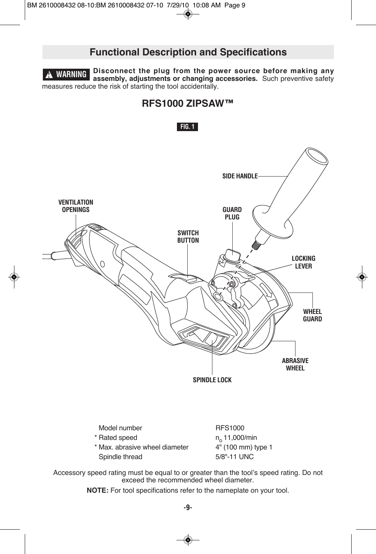# **Functional Description and Specifications**

**Disconnect the plug from the power source before making any assembly, adjustments or changing accessories.** Such preventive safety measures reduce the risk of starting the tool accidentally. **! WARNING**



# **FIG. 1**



| Model number                   | <b>RFS1000</b>  |
|--------------------------------|-----------------|
| * Rated speed                  | $n_0$ 11,000/mi |
| * Max. abrasive wheel diameter | 4" (100 mm)     |
| Spindle thread                 | 5/8"-11 UNC     |

RFS1000  $n<sub>o</sub>$  11,000/min 4" (100 mm) type 1

Accessory speed rating must be equal to or greater than the tool's speed rating. Do not exceed the recommended wheel diameter.

**NOTE:** For tool specifications refer to the nameplate on your tool.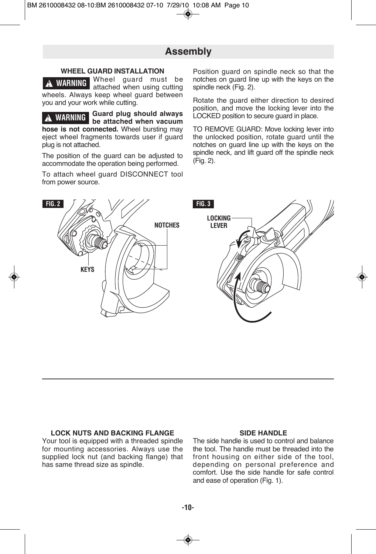# **Assembly**

## **WHEEL GUARD INSTALLATION**

**A WARNING** Wheel guard must be attached when using cutting wheels. Always keep wheel guard between you and your work while cutting.

**Guard plug should always A** WARNING be attached when vacuum **hose is not connected.** Wheel bursting may eject wheel fragments towards user if guard plug is not attached.

The position of the guard can be adjusted to accommodate the operation being performed.

To attach wheel guard DISCONNECT tool from power source.

Position guard on spindle neck so that the notches on guard line up with the keys on the spindle neck (Fig. 2).

Rotate the guard either direction to desired position, and move the locking lever into the LOCKED position to secure guard in place.

TO REMOVE GUARD: Move locking lever into the unlocked position, rotate guard until the notches on guard line up with the keys on the spindle neck, and lift guard off the spindle neck (Fig. 2).



### **LOCK NUTS AND BACKING FLANGE**

Your tool is equipped with a threaded spindle for mounting accessories. Always use the supplied lock nut (and backing flange) that has same thread size as spindle.

#### **SIDE HANDLE**

The side handle is used to control and balance the tool. The handle must be threaded into the front housing on either side of the tool, depending on personal preference and comfort. Use the side handle for safe control and ease of operation (Fig. 1).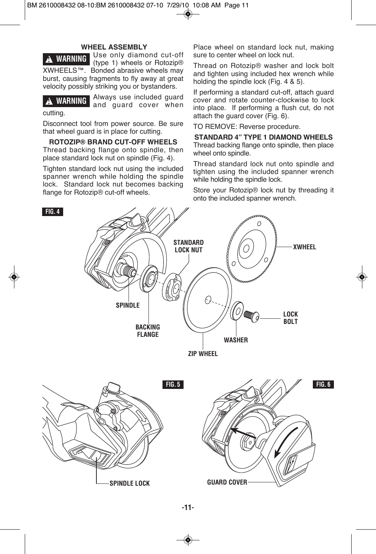### **WHEEL ASSEMBLy**

Use only diamond cut-off (type 1) wheels or Rotozip® XWHEELS™. Bonded abrasive wheels may burst, causing fragments to fly away at great velocity possibly striking you or bystanders. **! WARNING**

cutting. **! WARNING**

Always use included guard and guard cover when

Disconnect tool from power source. Be sure that wheel guard is in place for cutting.

**ROTOZIP® BRAND CUT-OFF WHEELS** Thread backing flange onto spindle, then place standard lock nut on spindle (Fig. 4).

Tighten standard lock nut using the included spanner wrench while holding the spindle lock. Standard lock nut becomes backing flange for Rotozip® cut-off wheels.

Place wheel on standard lock nut, making sure to center wheel on lock nut.

Thread on Rotozip® washer and lock bolt and tighten using included hex wrench while holding the spindle lock (Fig. 4 & 5).

If performing a standard cut-off, attach guard cover and rotate counter-clockwise to lock into place. If performing a flush cut, do not attach the guard cover (Fig. 6).

TO REMOVE: Reverse procedure.

**STANDARD 4" TyPE 1 DIAMOND WHEELS** Thread backing flange onto spindle, then place wheel onto spindle.

Thread standard lock nut onto spindle and tighten using the included spanner wrench while holding the spindle lock.

Store your Rotozip® lock nut by threading it onto the included spanner wrench.



**ZIP WHEEL**



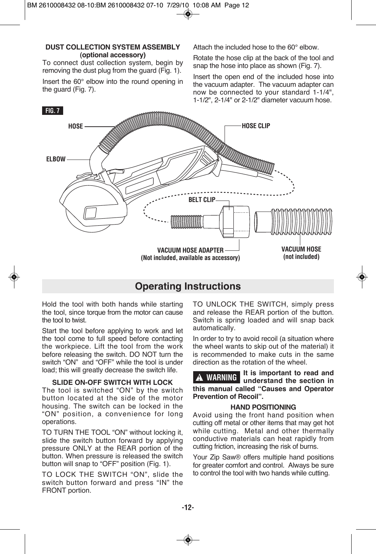### **DUST COLLECTION SySTEM ASSEMBLy (optional accessory)**

To connect dust collection system, begin by removing the dust plug from the guard (Fig. 1).

Insert the 60° elbow into the round opening in the guard (Fig. 7).

Attach the included hose to the 60° elbow.

Rotate the hose clip at the back of the tool and snap the hose into place as shown (Fig. 7).

Insert the open end of the included hose into the vacuum adapter. The vacuum adapter can now be connected to your standard 1-1/4", 1-1/2", 2-1/4" or 2-1/2" diameter vacuum hose.



# **Operating Instructions**

Hold the tool with both hands while starting the tool, since torque from the motor can cause the tool to twist.

Start the tool before applying to work and let the tool come to full speed before contacting the workpiece. Lift the tool from the work before releasing the switch. DO NOT turn the switch "ON" and "OFF" while the tool is under load; this will greatly decrease the switch life.

### **SLIDE ON-OFF SWITCH WITH LOCK**

The tool is switched "ON" by the switch button located at the side of the motor housing. The switch can be locked in the "ON" position, a convenience for long operations.

TO TURN THE TOOL "ON" without locking it, slide the switch button forward by applying pressure ONLY at the REAR portion of the button. When pressure is released the switch button will snap to "OFF" position (Fig. 1).

TO LOCK THE SWITCH "ON", slide the switch button forward and press "IN" the FRONT portion.

TO UNLOCK THE SWITCH, simply press and release the REAR portion of the button. Switch is spring loaded and will snap back automatically.

In order to try to avoid recoil (a situation where the wheel wants to skip out of the material) it is recommended to make cuts in the same direction as the rotation of the wheel.

**It is important to read and understand the section in this manual called "Causes and Operator Prevention of Recoil". ! WARNING**

#### **HAND POSITIONING**

Avoid using the front hand position when cutting off metal or other items that may get hot while cutting. Metal and other thermally conductive materials can heat rapidly from cutting friction, increasing the risk of burns.

Your Zip Saw® offers multiple hand positions for greater comfort and control. Always be sure to control the tool with two hands while cutting.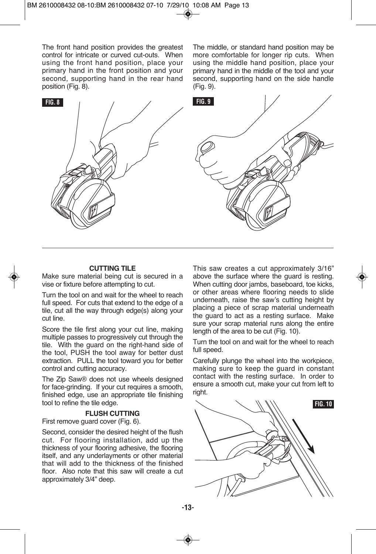The front hand position provides the greatest control for intricate or curved cut-outs. When using the front hand position, place your primary hand in the front position and your second, supporting hand in the rear hand position (Fig. 8).

**FIG. 8 FIG. 9**

The middle, or standard hand position may be more comfortable for longer rip cuts. When using the middle hand position, place your primary hand in the middle of the tool and your second, supporting hand on the side handle (Fig. 9).



#### **CUTTING TILE**

Make sure material being cut is secured in a vise or fixture before attempting to cut.

Turn the tool on and wait for the wheel to reach full speed. For cuts that extend to the edge of a tile, cut all the way through edge(s) along your cut line.

Score the tile first along your cut line, making multiple passes to progressively cut through the tile. With the guard on the right-hand side of the tool, PUSH the tool away for better dust extraction. PULL the tool toward you for better control and cutting accuracy.

The Zip Saw® does not use wheels designed for face-grinding. If your cut requires a smooth, finished edge, use an appropriate tile finishing tool to refine the tile edge.

# **FLUSH CUTTING**

First remove guard cover (Fig. 6).

Second, consider the desired height of the flush cut. For flooring installation, add up the thickness of your flooring adhesive, the flooring itself, and any underlayments or other material that will add to the thickness of the finished floor. Also note that this saw will create a cut approximately 3/4" deep.

This saw creates a cut approximately 3/16" above the surface where the guard is resting. When cutting door jambs, baseboard, toe kicks, or other areas where flooring needs to slide underneath, raise the saw's cutting height by placing a piece of scrap material underneath the guard to act as a resting surface. Make sure your scrap material runs along the entire length of the area to be cut (Fig. 10).

Turn the tool on and wait for the wheel to reach full speed.

Carefully plunge the wheel into the workpiece, making sure to keep the guard in constant contact with the resting surface. In order to ensure a smooth cut, make your cut from left to right.

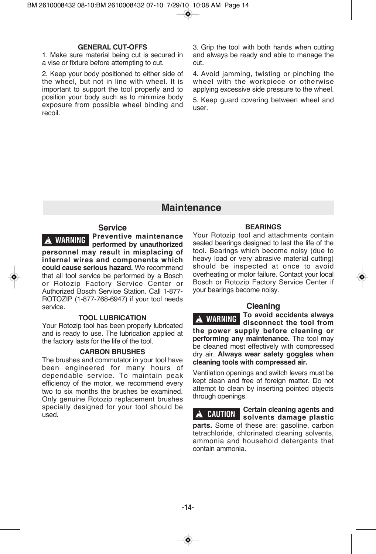#### **GENERAL CUT-OFFS**

1. Make sure material being cut is secured in a vise or fixture before attempting to cut.

2. Keep your body positioned to either side of the wheel, but not in line with wheel. It is important to support the tool properly and to position your body such as to minimize body exposure from possible wheel binding and recoil.

3. Grip the tool with both hands when cutting and always be ready and able to manage the cut.

4. Avoid jamming, twisting or pinching the wheel with the workpiece or otherwise applying excessive side pressure to the wheel.

5. Keep guard covering between wheel and user.

# **Maintenance**

### **Service**

**Preventive maintenance performed by unauthorized per so n nel may result in misplacing of internal wires and components which could cause serious hazard.** We recommend that all tool service be performed by a Bosch or Rotozip Factory Service Center or Authorized Bosch Service Station. Call 1-877- ROTOZIP (1-877-768-6947) if your tool needs service. **! WARNING**

#### **TOOL LUBRICATION**

Your Rotozip tool has been properly lubricated and is ready to use. The lubrication applied at the factory lasts for the life of the tool.

#### **CARBON BRUSHES**

The brushes and commutator in your tool have been engineered for many hours of dependable service. To maintain peak efficiency of the motor, we recommend every two to six months the brushes be examined. Only genuine Rotozip replacement brushes specially designed for your tool should be used.

#### **BEARINGS**

Your Rotozip tool and attachments contain sealed bearings designed to last the life of the tool. Bearings which become noisy (due to heavy load or very abrasive material cutting) should be inspected at once to avoid overheating or motor failure. Contact your local Bosch or Rotozip Factory Service Center if your bearings become noisy.

### **Cleaning**

**To avoid accidents always dis connect the tool from the power supply before cleaning or performing any maintenance.** The tool may be cleaned most effectively with compressed dry air. **Always wear safety goggles when cleaning tools with compressed air. ! WARNING**

Ventilation openings and switch levers must be kept clean and free of foreign matter. Do not attempt to clean by inserting pointed objects through openings.

**Certain cleaning agents and sol vents damage plastic parts.** Some of these are: gasoline, carbon tetrachloride, chlorinated cleaning solvents, ammonia and household detergents that contain ammonia. **! CAUTION**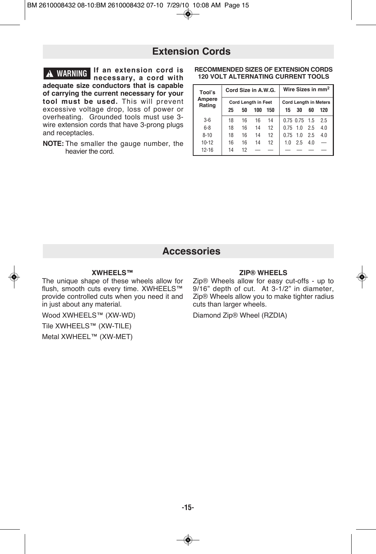# **Extension Cords**

**If an extension cord is necessary, a cord with adequate size conductors that is capable of carrying the current necessary for your tool must be used.** This will prevent excessive voltage drop, loss of power or

overheating. Grounded tools must use 3 wire extension cords that have 3-prong plugs and receptacles.

**NOTE:** The smaller the gauge number, the heavier the cord.

### **RECOMMENDED SIZES OF EXTENSION CORDS 1** WARNING IT an extension cord is recommended sizes of extension cords<br>**120 VOLT ALTERNATING CURRENT TOOLS**

| Tool's           | Cord Size in A.W.G. |    |                            |     | Wire Sizes in mm <sup>2</sup> |                   |     |                                     |
|------------------|---------------------|----|----------------------------|-----|-------------------------------|-------------------|-----|-------------------------------------|
| Ampere<br>Rating | 25                  | 50 | Cord Length in Feet<br>100 | 150 | 15                            | 30                | 60  | <b>Cord Length in Meters</b><br>120 |
| $3-6$            | 18                  | 16 | 16                         | 14  |                               | $0.75$ $0.75$ 1.5 |     | 25                                  |
| $6 - 8$          | 18                  | 16 | 14                         | 12  | $0.75$ 1.0                    |                   | 2.5 | 4.0                                 |
| $8 - 10$         | 18                  | 16 | 14                         | 12  | በ 75                          | 1.0               | 25  | 4.0                                 |
| $10 - 12$        | 16                  | 16 | 14                         | 12  | 10                            | 2.5               | 4.0 |                                     |
| $12 - 16$        | 14                  | 12 |                            |     |                               |                   |     |                                     |

# **Accessories**

### **XWHEELS™**

The unique shape of these wheels allow for flush, smooth cuts every time. XWHEELS™ provide controlled cuts when you need it and in just about any material.

Wood XWHEELS™ (XW-WD)

Tile XWHEELS™ (XW-TILE)

Metal XWHEEL™ (XW-MET)

#### **ZIP® WHEELS**

Zip® Wheels allow for easy cut-offs - up to 9/16" depth of cut. At 3-1/2" in diameter, Zip® Wheels allow you to make tighter radius cuts than larger wheels.

Diamond Zip® Wheel (RZDIA)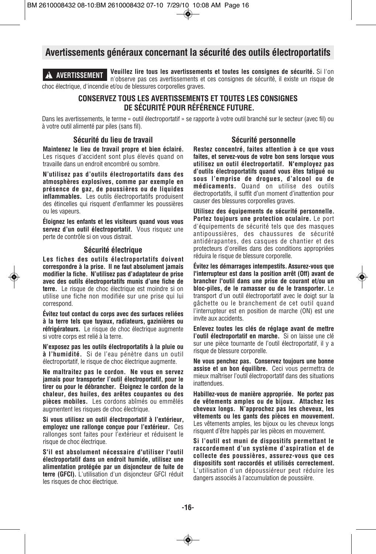# **Avertissements généraux concernant la sécurité des outils électroportatifs**

**Veuillez lire tous les avertissements et toutes les consignes de sécurité.** Si l'on n'observe pas ces avertissements et ces consignes de sécurité, il existe un risque de choc électrique, d'incendie et/ou de blessures corporelles graves. **! AVERTISSEMENT**

# **CONSERVEZ TOUS LES AVERTISSEMENTS ET TOUTES LES CONSIGNES DE SÉCURITÉ POUR RÉFÉRENCE FUTURE.**

Dans les avertissements, le terme « outil électroportatif » se rapporte à votre outil branché sur le secteur (avec fil) ou à votre outil alimenté par piles (sans fil).

### **Sécurité du lieu de travail**

**Maintenez le lieu de travail propre et bien éclairé.** Les risques d'accident sont plus élevés quand on travaille dans un endroit encombré ou sombre.

**N'utilisez pas d'outils électroportatifs dans des atmosphères explosives, comme par exemple en présence de gaz, de poussières ou de liquides inflammables.** Les outils électroportatifs produisent des étincelles qui risquent d'enflammer les poussières ou les vapeurs.

**Éloignez les enfants et les visiteurs quand vous vous servez d'un outil électroportatif.** Vous risquez une perte de contrôle si on vous distrait.

#### **Sécurité électrique**

**Les fiches des outils électroportatifs doivent correspondre à la prise. Il ne faut absolument jamais modifier la fiche. N'utilisez pas d'adaptateur de prise avec des outils électroportatifs munis d'une fiche de terre.** Le risque de choc électrique est moindre si on utilise une fiche non modifiée sur une prise qui lui correspond.

**Évitez tout contact du corps avec des surfaces reliées à la terre tels que tuyaux, radiateurs, gazinières ou réfrigérateurs.** Le risque de choc électrique augmente si votre corps est relié à la terre.

**N'exposez pas les outils électroportatifs à la pluie ou à l'humidité.** Si de l'eau pénètre dans un outil électroportatif, le risque de choc électrique augmente.

**Ne maltraitez pas le cordon. Ne vous en servez jamais pour transporter l'outil électroportatif, pour le tirer ou pour le débrancher. Éloignez le cordon de la chaleur, des huiles, des arêtes coupantes ou des pièces mobiles.** Les cordons abîmés ou emmêlés augmentent les risques de choc électrique.

**Si vous utilisez un outil électroportatif à l'extérieur, employez une rallonge conçue pour l'extérieur.** Ces rallonges sont faites pour l'extérieur et réduisent le risque de choc électrique.

**S'il est absolument nécessaire d'utiliser l'outil électroportatif dans un endroit humide, utilisez une alimentation protégée par un disjoncteur de fuite de terre (GFCI).** L'utilisation d'un disjoncteur GFCI réduit les risques de choc électrique.

#### **Sécurité personnelle**

**Restez concentré, faites attention à ce que vous faites, et servez-vous de votre bon sens lorsque vous utilisez un outil électroportatif. N'employez pas d'outils électroportatifs quand vous êtes fatigué ou sous l'emprise de drogues, d'alcool ou de médicaments.** Quand on utilise des outils électroportatifs, il suffit d'un moment d'inattention pour causer des blessures corporelles graves.

**Utilisez des équipements de sécurité personnelle. Portez toujours une protection oculaire.** Le port d'équipements de sécurité tels que des masques antipoussières, des chaussures de sécurité antidérapantes, des casques de chantier et des protecteurs d'oreilles dans des conditions appropriées réduira le risque de blessure corporelle.

**Évitez les démarrages intempestifs. Assurez-vous que l'interrupteur est dans la position arrêt (Off) avant de brancher l'outil dans une prise de courant et/ou un bloc-piles, de le ramasser ou de le transporter.** Le transport d'un outil électroportatif avec le doigt sur la gâchette ou le branchement de cet outil quand l'interrupteur est en position de marche (ON) est une invite aux accidents.

**Enlevez toutes les clés de réglage avant de mettre l'outil électroportatif en marche.** Si on laisse une clé sur une pièce tournante de l'outil électroportatif, il y a risque de blessure corporelle.

**Ne vous penchez pas. Conservez toujours une bonne assise et un bon équilibre.** Ceci vous permettra de mieux maîtriser l'outil électroportatif dans des situations inattendues.

**Habillez-vous de manière appropriée. Ne portez pas de vêtements amples ou de bijoux. Attachez les cheveux longs. N'approchez pas les cheveux, les vêtements ou les gants des pièces en mouvement.** Les vêtements amples, les bijoux ou les cheveux longs risquent d'être happés par les pièces en mouvement.

**Si l'outil est muni de dispositifs permettant le raccordement d'un système d'aspiration et de collecte des poussières, assurez-vous que ces dispositifs sont raccordés et utilisés correctement.** L'utilisation d'un dépoussiéreur peut réduire les dangers associés à l'accumulation de poussière.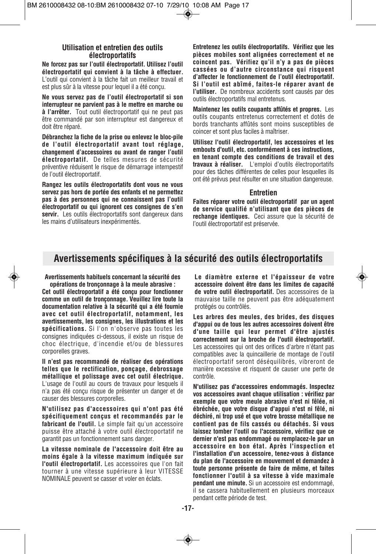### **Utilisation et entretien des outils électroportatifs**

**Ne forcez pas sur l'outil électroportatif. Utilisez l'outil électroportatif qui convient à la tâche à effectuer.** L'outil qui convient à la tâche fait un meilleur travail et est plus sûr à la vitesse pour lequel il a été conçu.

**Ne vous servez pas de l'outil électroportatif si son interrupteur ne parvient pas à le mettre en marche ou à l'arrêter.** Tout outil électroportatif qui ne peut pas être commandé par son interrupteur est dangereux et doit être réparé.

**Débranchez la fiche de la prise ou enlevez le bloc-pile de l'outil électroportatif avant tout réglage, changement d'accessoires ou avant de ranger l'outil électroportatif.** De telles mesures de sécurité préventive réduisent le risque de démarrage intempestif de l'outil électroportatif.

**Rangez les outils électroportatifs dont vous ne vous servez pas hors de portée des enfants et ne permettez pas à des personnes qui ne connaissent pas l'outil électroportatif ou qui ignorent ces consignes de s'en servir.** Les outils électroportatifs sont dangereux dans les mains d'utilisateurs inexpérimentés.

**Entretenez les outils électroportatifs. Vérifiez que les pièces mobiles sont alignées correctement et ne coincent pas. Vérifiez qu'il n'y a pas de pièces cassées ou d'autre circonstance qui risquent d'affecter le fonctionnement de l'outil électroportatif. Si l'outil est abîmé, faites-le réparer avant de l'utiliser.** De nombreux accidents sont causés par des outils électroportatifs mal entretenus.

**Maintenez les outils coupants affûtés et propres.** Les outils coupants entretenus correctement et dotés de bords tranchants affûtés sont moins susceptibles de coincer et sont plus faciles à maîtriser.

**Utilisez l'outil électroportatif, les accessoires et les embouts d'outil, etc. conformément à ces instructions, en tenant compte des conditions de travail et des travaux à réaliser.** L'emploi d'outils électroportatifs pour des tâches différentes de celles pour lesquelles ils ont été prévus peut résulter en une situation dangereuse.

#### **Entretien**

**Faites réparer votre outil électroportatif par un agent de service qualifié n'utilisant que des pièces de rechange identiques.** Ceci assure que la sécurité de l'outil électroportatif est préservée.

# **Avertissements spécifiques à la sécurité des outils électroportatifs**

**Avertissements habituels concernant la sécurité des opérations de tronçonnage à la meule abrasive : Cet outil électroportatif a été conçu pour fonctionner comme un outil de tronçonnage. Veuillez lire toute la documentation relative à la sécurité qui a été fournie avec cet outil électroportatif, notamment, les avertissements, les consignes, les illustrations et les spécifications.** Si l'on n'observe pas toutes les consignes indiquées ci-dessous, il existe un risque de choc électrique, d'incendie et/ou de blessures corporelles graves.

**Il n'est pas recommandé de réaliser des opérations telles que le rectification, ponçage, debrossage métallique et polissage avec cet outil électrique.** L'usage de l'outil au cours de travaux pour lesquels il n'a pas été conçu risque de présenter un danger et de causer des blessures corporelles.

**N'utilisez pas d'accessoires qui n'ont pas été spécifiquement conçus et recommandés par le fabricant de l'outil.** Le simple fait qu'un accessoire puisse être attaché à votre outil électroportatif ne garantit pas un fonctionnement sans danger.

**La vitesse nominale de l'accessoire doit être au moins égale à la vitesse maximum indiquée sur l'outil électroportatif.** Les accessoires que l'on fait tourner à une vitesse supérieure à leur VITESSE NOMINALE peuvent se casser et voler en éclats.

**Le diamètre externe et l'épaisseur de votre accessoire doivent être dans les limites de capacité de votre outil électroportatif.** Des accessoires de la mauvaise taille ne peuvent pas être adéquatement protégés ou contrôlés.

**Les arbres des meules, des brides, des disques d'appui ou de tous les autres accessoires doivent être d'une taille qui leur permet d'être ajustés correctement sur la broche de l'outil électroportatif.** Les accessoires qui ont des orifices d'arbre n'étant pas compatibles avec la quincaillerie de montage de l'outil électroportatif seront déséquilibrés, vibreront de manière excessive et risquent de causer une perte de contrôle.

**N'utilisez pas d'accessoires endommagés. Inspectez vos accessoires avant chaque utilisation : vérifiez par exemple que votre meule abrasive n'est ni fêlée, ni ébréchée, que votre disque d'appui n'est ni fêlé, ni déchiré, ni trop usé et que votre brosse métallique ne contient pas de fils cassés ou détachés. Si vous laissez tomber l'outil ou l'accessoire, vérifiez que ce dernier n'est pas endommagé ou remplacez-le par un accessoire en bon état. Après l'inspection et l'installation d'un accessoire, tenez-vous à distance du plan de l'accessoire en mouvement et demandez à toute personne présente de faire de même, et faites fonctionner l'outil à sa vitesse à vide maximale pendant une minute.** Si un accessoire est endommagé, il se cassera habituellement en plusieurs morceaux pendant cette période de test.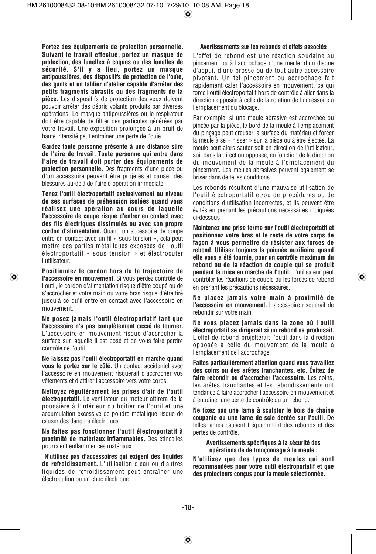**Portez des équipements de protection personnelle. Suivant le travail effectué, portez un masque de protection, des lunettes à coques ou des lunettes de sécurité. S'il y a lieu, portez un masque antipoussières, des dispositifs de protection de l'ouïe, des gants et un tablier d'atelier capable d'arrêter des petits fragments abrasifs ou des fragments de la pièce.** Les dispositifs de protection des yeux doivent pouvoir arrêter des débris volants produits par diverses opérations. Le masque antipoussières ou le respirateur doit être capable de filtrer des particules générées par votre travail. Une exposition prolongée à un bruit de haute intensité peut entraîner une perte de l'ouïe.

**Gardez toute personne présente à une distance sûre de l'aire de travail. Toute personne qui entre dans l'aire de travail doit porter des équipements de protection personnelle.** Des fragments d'une pièce ou d'un accessoire peuvent être projetés et causer des blessures au-delà de l'aire d'opération immédiate.

**Tenez l'outil électroportatif exclusivement au niveau de ses surfaces de préhension isolées quand vous réalisez une opération au cours de laquelle l'accessoire de coupe risque d'entrer en contact avec des fils électriques dissimulés ou avec son propre cordon d'alimentation.** Quand un accessoire de coupe entre en contact avec un fil « sous tension », cela peut mettre des parties métalliques exposées de l'outil électroportatif « sous tension » et électrocuter l'utilisateur.

**Positionnez le cordon hors de la trajectoire de l'accessoire en mouvement.** Si vous perdez contrôle de l'outil, le cordon d'alimentation risque d'être coupé ou de s'accrocher et votre main ou votre bras risque d'être tiré jusqu'à ce qu'il entre en contact avec l'accessoire en mouvement.

**Ne posez jamais l'outil électroportatif tant que l'accessoire n'a pas complètement cessé de tourner.** L'accessoire en mouvement risque d'accrocher la surface sur laquelle il est posé et de vous faire perdre contrôle de l'outil.

**Ne laissez pas l'outil électroportatif en marche quand vous le portez sur le côté.** Un contact accidentel avec l'accessoire en mouvement risquerait d'accrocher vos vêtements et d'attirer l'accessoire vers votre corps.

**Nettoyez régulièrement les prises d'air de l'outil électroportatif.** Le ventilateur du moteur attirera de la poussière à l'intérieur du boîtier de l'outil et une accumulation excessive de poudre métallique risque de causer des dangers électriques.

**Ne faites pas fonctionner l'outil électroportatif à proximité de matériaux inflammables.** Des étincelles pourraient enflammer ces matériaux.

**N'utilisez pas d'accessoires qui exigent des liquides de refroidissement.** L'utilisation d'eau ou d'autres liquides de refroidissement peut entraîner une électrocution ou un choc électrique.

#### **Avertissements sur les rebonds et effets associés**

L'effet de rebond est une réaction soudaine au pincement ou à l'accrochage d'une meule, d'un disque d'appui, d'une brosse ou de tout autre accessoire pivotant. Un tel pincement ou accrochage fait rapidement caler l'accessoire en mouvement, ce qui force l'outil électroportatif hors de contrôle à aller dans la direction opposée à celle de la rotation de l'accessoire à l'emplacement du blocage.

Par exemple, si une meule abrasive est accrochée ou pincée par la pièce, le bord de la meule à l'emplacement du pinçage peut creuser la surface du matériau et forcer la meule à se « hisser » sur la pièce ou à être éjectée. La meule peut alors sauter soit en direction de l'utilisateur, soit dans la direction opposée, en fonction de la direction du mouvement de la meule à l'emplacement du pincement. Les meules abrasives peuvent également se briser dans de telles conditions.

Les rebonds résultent d'une mauvaise utilisation de l'outil électroportatif et/ou de procédures ou de conditions d'utilisation incorrectes, et ils peuvent être évités en prenant les précautions nécessaires indiquées ci-dessous :

**Maintenez une prise ferme sur l'outil électroportatif et positionnez votre bras et le reste de votre corps de façon à vous permettre de résister aux forces de rebond. Utilisez toujours la poignée auxiliaire, quand elle vous a été fournie, pour un contrôle maximum du rebond ou de la réaction de couple qui se produit pendant la mise en marche de l'outil.** L'utilisateur peut contrôler les réactions de couple ou les forces de rebond en prenant les précautions nécessaires.

**Ne placez jamais votre main à proximité de l'accessoire en mouvement.** L'accessoire risquerait de rebondir sur votre main.

**Ne vous placez jamais dans la zone où l'outil électroportatif se dirigerait si un rebond se produisait.** L'effet de rebond projetterait l'outil dans la direction opposée à celle du mouvement de la meule à l'emplacement de l'accrochage.

**Faites particulièrement attention quand vous travaillez des coins ou des arêtes tranchantes, etc. Évitez de faire rebondir ou d'accrocher l'accessoire.** Les coins, les arêtes tranchantes et les rebondissements ont tendance à faire accrocher l'accessoire en mouvement et à entraîner une perte de contrôle ou un rebond.

**Ne fixez pas une lame à sculpter le bois de chaîne coupante ou une lame de scie dentée sur l'outil.** De telles lames causent fréquemment des rebonds et des pertes de contrôle.

#### **Avertissements spécifiques à la sécurité des opérations de de tronçonnage à la meule :**

**N'utilisez que des types de meules qui sont recommandées pour votre outil électroportatif et que des protecteurs conçus pour la meule sélectionnée.**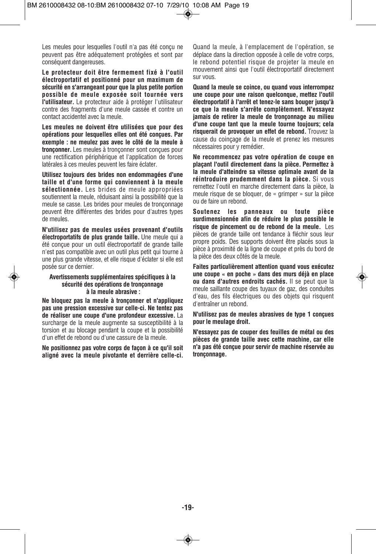Les meules pour lesquelles l'outil n'a pas été conçu ne peuvent pas être adéquatement protégées et sont par conséquent dangereuses.

**Le protecteur doit être fermement fixé à l'outil électroportatif et positionné pour un maximum de sécurité en s'arrangeant pour que la plus petite portion possible de meule exposée soit tournée vers l'utilisateur.** Le protecteur aide à protéger l'utilisateur contre des fragments d'une meule cassée et contre un contact accidentel avec la meule.

**Les meules ne doivent être utilisées que pour des opérations pour lesquelles elles ont été conçues. Par exemple : ne meulez pas avec le côté de la meule à tronçonner.** Les meules à tronçonner sont conçues pour une rectification périphérique et l'application de forces latérales à ces meules peuvent les faire éclater.

**Utilisez toujours des brides non endommagées d'une taille et d'une forme qui conviennent à la meule sélectionnée.** Les brides de meule appropriées soutiennent la meule, réduisant ainsi la possibilité que la meule se casse. Les brides pour meules de tronçonnage peuvent être différentes des brides pour d'autres types de meules.

**N'utilisez pas de meules usées provenant d'outils électroportatifs de plus grande taille.** Une meule qui a été conçue pour un outil électroportatif de grande taille n'est pas compatible avec un outil plus petit qui tourne à une plus grande vitesse, et elle risque d'éclater si elle est posée sur ce dernier.

#### **Avertissements supplémentaires spécifiques à la sécurité des opérations de tronçonnage à la meule abrasive :**

**Ne bloquez pas la meule à tronçonner et n'appliquez pas une pression excessive sur celle-ci. Ne tentez pas de réaliser une coupe d'une profondeur excessive.** La surcharge de la meule augmente sa susceptibilité à la torsion et au blocage pendant la coupe et la possibilité d'un effet de rebond ou d'une cassure de la meule.

**Ne positionnez pas votre corps de façon à ce qu'il soit aligné avec la meule pivotante et derrière celle-ci.** Quand la meule, à l'emplacement de l'opération, se déplace dans la direction opposée à celle de votre corps, le rebond potentiel risque de projeter la meule en mouvement ainsi que l'outil électroportatif directement sur vous.

**Quand la meule se coince, ou quand vous interrompez une coupe pour une raison quelconque, mettez l'outil électroportatif à l'arrêt et tenez-le sans bouger jusqu'à ce que la meule s'arrête complètement. N'essayez jamais de retirer la meule de tronçonnage au milieu d'une coupe tant que la meule tourne toujours; cela risquerait de provoquer un effet de rebond.** Trouvez la cause du coinçage de la meule et prenez les mesures nécessaires pour y remédier.

**Ne recommencez pas votre opération de coupe en plaçant l'outil directement dans la pièce. Permettez à la meule d'atteindre sa vitesse optimale avant de la réintroduire prudemment dans la pièce.** Si vous remettez l'outil en marche directement dans la pièce, la meule risque de se bloquer, de « grimper » sur la pièce ou de faire un rebond.

**Soutenez les panneaux ou toute pièce surdimensionnée afin de réduire le plus possible le risque de pincement ou de rebond de la meule.** Les pièces de grande taille ont tendance à fléchir sous leur propre poids. Des supports doivent être placés sous la pièce à proximité de la ligne de coupe et près du bord de la pièce des deux côtés de la meule.

**Faites particulièrement attention quand vous exécutez une coupe « en poche » dans des murs déjà en place ou dans d'autres endroits cachés.** Il se peut que la meule saillante coupe des tuyaux de gaz, des conduites d'eau, des fils électriques ou des objets qui risquent d'entraîner un rebond.

**N'utilisez pas de meules abrasives de type 1 conçues pour le meulage droit.**

**N'essayez pas de couper des feuilles de métal ou des pièces de grande taille avec cette machine, car elle n'a pas été conçue pour servir de machine réservée au tronçonnage.**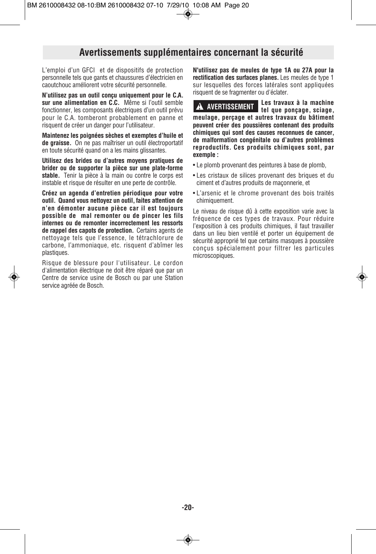# **Avertissements supplémentaires concernant la sécurité**

L'emploi d'un GFCI et de dispositifs de protection personnelle tels que gants et chaussures d'électricien en caoutchouc améliorent votre sécurité personnelle.

**N'utilisez pas un outil conçu uniquement pour le C.A. sur une alimentation en C.C.** Même si l'outil semble fonctionner, les composants électriques d'un outil prévu pour le C.A. tomberont probablement en panne et risquent de créer un danger pour l'utilisateur.

**Maintenez les poignées sèches et exemptes d'huile et de graisse.** On ne pas maîtriser un outil électroportatif en toute sécurité quand on a les mains glissantes.

**Utilisez des brides ou d'autres moyens pratiques de brider ou de supporter la pièce sur une plate-forme stable.** Tenir la pièce à la main ou contre le corps est instable et risque de résulter en une perte de contrôle.

**Créez un agenda d'entretien périodique pour votre outil. Quand vous nettoyez un outil, faites attention de n'en démonter aucune pièce car il est toujours possible de mal remonter ou de pincer les fils internes ou de remonter incorrectement les ressorts de rappel des capots de protection.** Certains agents de nettoyage tels que l'essence, le tétrachlorure de carbone, l'ammoniaque, etc. risquent d'abîmer les plastiques.

Risque de blessure pour l'utilisateur. Le cordon d'alimentation électrique ne doit être réparé que par un Centre de service usine de Bosch ou par une Station service agréée de Bosch.

**N'utilisez pas de meules de type 1A ou 27A pour la rectification des surfaces planes.** Les meules de type 1 sur lesquelles des forces latérales sont appliquées risquent de se fragmenter ou d'éclater.

**Les travaux à la machine tel que ponçage, sciage, meulage, perçage et autres travaux du bâtiment peuvent créer des poussières contenant des produits chimiques qui sont des causes reconnues de cancer, de malformation congénitale ou d'autres problèmes reproductifs. Ces produits chimiques sont, par exemple : ! AVERTISSEMENT**

- Le plomb provenant des peintures à base de plomb,
- Les cristaux de silices provenant des briques et du ciment et d'autres produits de maçonnerie, et
- L'arsenic et le chrome provenant des bois traités chimiquement.

Le niveau de risque dû à cette exposition varie avec la fréquence de ces types de travaux. Pour réduire l'exposition à ces produits chimiques, il faut travailler dans un lieu bien ventilé et porter un équipement de sécurité approprié tel que certains masques à poussière conçus spécialement pour filtrer les particules microscopiques.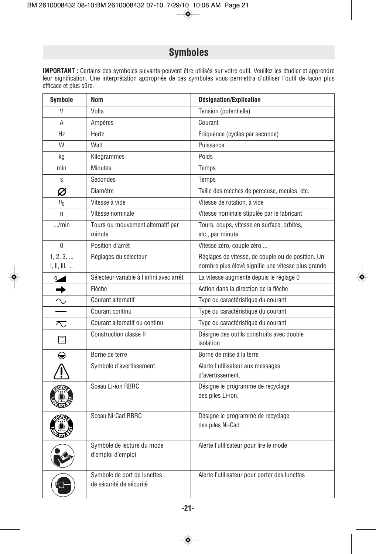# **Symboles**

**IMPORTANT :** Certains des symboles suivants peuvent être utilisés sur votre outil. Veuillez les étudier et apprendre leur signification. Une interprétation appropriée de ces symboles vous permettra d'utiliser l'outil de façon plus efficace et plus sûre.

| Symbole                 | <b>Nom</b>                                             | <b>Désignation/Explication</b>                                                                          |  |  |  |  |
|-------------------------|--------------------------------------------------------|---------------------------------------------------------------------------------------------------------|--|--|--|--|
| V                       | Volts                                                  | Tension (potentielle)                                                                                   |  |  |  |  |
| Α                       | Ampères                                                | Courant                                                                                                 |  |  |  |  |
| Hz                      | Hertz                                                  | Fréquence (cycles par seconde)                                                                          |  |  |  |  |
| W                       | Watt                                                   | Puissance                                                                                               |  |  |  |  |
| kg                      | Kilogrammes                                            | Poids                                                                                                   |  |  |  |  |
| min                     | <b>Minutes</b>                                         | Temps                                                                                                   |  |  |  |  |
| S                       | Secondes                                               | Temps                                                                                                   |  |  |  |  |
| Ø                       | Diamètre                                               | Taille des mèches de perceuse, meules, etc.                                                             |  |  |  |  |
| $n_0$                   | Vitesse à vide                                         | Vitesse de rotation, à vide                                                                             |  |  |  |  |
| n                       | Vitesse nominale                                       | Vitesse nominale stipulée par le fabricant                                                              |  |  |  |  |
| /min                    | Tours ou mouvement alternatif par<br>minute            | Tours, coups, vitesse en surface, orbites,<br>etc., par minute                                          |  |  |  |  |
| 0                       | Position d'arrêt                                       | Vitesse zéro, couple zéro                                                                               |  |  |  |  |
| 1, 2, 3,<br>I, II, III, | Réglages du sélecteur                                  | Réglages de vitesse, de couple ou de position. Un<br>nombre plus élevé signifie une vitesse plus grande |  |  |  |  |
| $\sim$                  | Sélecteur variable à l'infini avec arrêt               | La vitesse augmente depuis le réglage 0                                                                 |  |  |  |  |
|                         | Flèche                                                 | Action dans la direction de la flèche                                                                   |  |  |  |  |
| ∿                       | Courant alternatif                                     | Type ou caractéristique du courant                                                                      |  |  |  |  |
| $=$                     | Courant continu                                        | Type ou caractéristique du courant                                                                      |  |  |  |  |
| $\overline{\sim}$       | Courant alternatif ou continu                          | Type ou caractéristique du courant                                                                      |  |  |  |  |
| 回                       | <b>Construction classe II</b>                          | Désigne des outils construits avec double<br>isolation                                                  |  |  |  |  |
| ⊕                       | Borne de terre                                         | Borne de mise à la terre                                                                                |  |  |  |  |
|                         | Symbole d'avertissement                                | Alerte l'utilisateur aux messages<br>d'avertissement.                                                   |  |  |  |  |
|                         | Sceau Li-ion RBRC                                      | Désigne le programme de recyclage<br>des piles Li-ion.                                                  |  |  |  |  |
|                         | Sceau Ni-Cad RBRC                                      | Désigne le programme de recyclage<br>des piles Ni-Cad.                                                  |  |  |  |  |
|                         | Symbole de lecture du mode<br>d'emploi d'emploi        | Alerte l'utilisateur pour lire le mode                                                                  |  |  |  |  |
|                         | Symbole de port de lunettes<br>de sécurité de sécurité | Alerte l'utilisateur pour porter des lunettes                                                           |  |  |  |  |

**-21-**

◈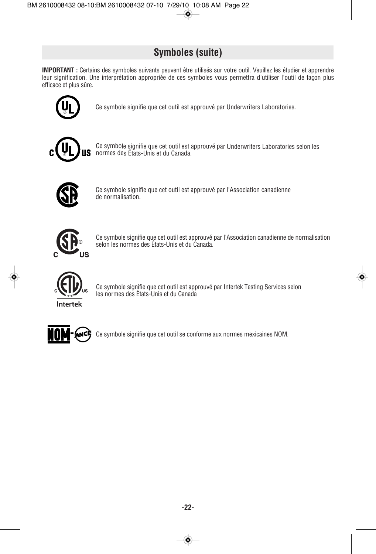# **Symboles (suite)**

**IMPORTANT :** Certains des symboles suivants peuvent être utilisés sur votre outil. Veuillez les étudier et apprendre leur signification. Une interprétation appropriée de ces symboles vous permettra d'utiliser l'outil de façon plus efficace et plus sûre.



Ce symbole signifie que cet outil est approuvé par Underwriters Laboratories.



Ce symbole signifie que cet outil est approuvé par Underwriters Laboratories selon les normes des États-Unis et du Canada.



Ce symbole signifie que cet outil est approuvé par l'Association canadienne de normalisation.



Ce symbole signifie que cet outil est approuvé par l'Association canadienne de normalisation selon les normes des États-Unis et du Canada.



Ce symbole signifie que cet outil est approuvé par Intertek Testing Services selon les normes des États-Unis et du Canada



Ce symbole signifie que cet outil se conforme aux normes mexicaines NOM.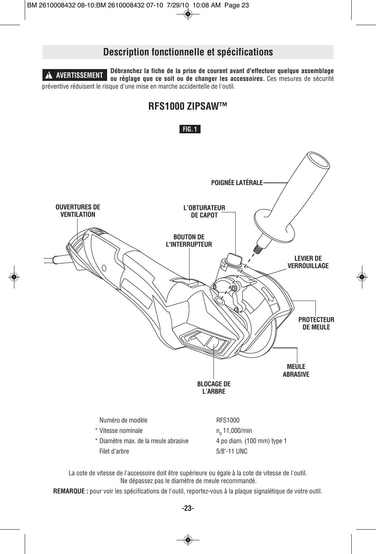# **Description fonctionnelle et spécifications**

**Débranchez la fiche de la prise de courant avant d'effectuer quelque assemblage ou réglage que ce soit ou de changer les accessoires.** Ces mesures de sécurité préventive réduisent le risque d'une mise en marche accidentelle de l'outil. **! AVERTISSEMENT**



La cote de vitesse de l'accessoire doit être supérieure ou égale à la cote de vitesse de l'outil. Ne dépassez pas le diamètre de meule recommandé.

**REMARQUE :** pour voir les spécifications de l'outil, reportez-vous à la plaque signalétique de votre outil.

**-23-**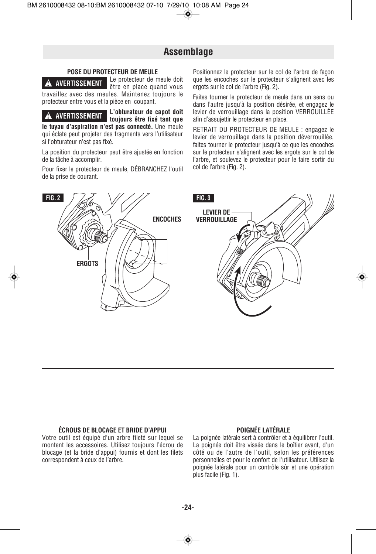# **Assemblage**

### **POSE DU PROTECTEUR DE MEULE**

Le protecteur de meule doit être en place quand vous travaillez avec des meules. Maintenez toujours le protecteur entre vous et la pièce en coupant. **! AVERTISSEMENT**

**L'obturateur de capot doit toujours être fixé tant que le tuyau d'aspiration n'est pas connecté.** Une meule qui éclate peut projeter des fragments vers l'utilisateur si l'obturateur n'est pas fixé. **! AVERTISSEMENT**

La position du protecteur peut être ajustée en fonction de la tâche à accomplir.

Pour fixer le protecteur de meule, DÉBRANCHEZ l'outil de la prise de courant.

Positionnez le protecteur sur le col de l'arbre de façon que les encoches sur le protecteur s'alignent avec les ergots sur le col de l'arbre (Fig. 2).

Faites tourner le protecteur de meule dans un sens ou dans l'autre jusqu'à la position désirée, et engagez le levier de verrouillage dans la position VERROUILLÉE afin d'assujettir le protecteur en place.

RETRAIT DU PROTECTEUR DE MEULE : engagez le levier de verrouillage dans la position déverrouillée, faites tourner le protecteur jusqu'à ce que les encoches sur le protecteur s'alignent avec les ergots sur le col de l'arbre, et soulevez le protecteur pour le faire sortir du col de l'arbre (Fig. 2).



#### **ÉCROUS DE BLOCAGE ET BRIDE D'APPUI**

Votre outil est équipé d'un arbre fileté sur lequel se montent les ac cessoires. Utilisez toujours l'écrou de blocage (et la bride d'appui) fournis et dont les filets correspondent à ceux de l'arbre.

#### **POIGNÉE LATÉRALE**

La poignée latérale sert à contrôler et à équilibrer l'outil. La poignée doit être vissée dans le boîtier avant, d'un côté ou de l'autre de l'outil, selon les préférences personnelles et pour le confort de l'utilisateur. Utilisez la poignée latérale pour un contrôle sûr et une opération plus facile (Fig. 1).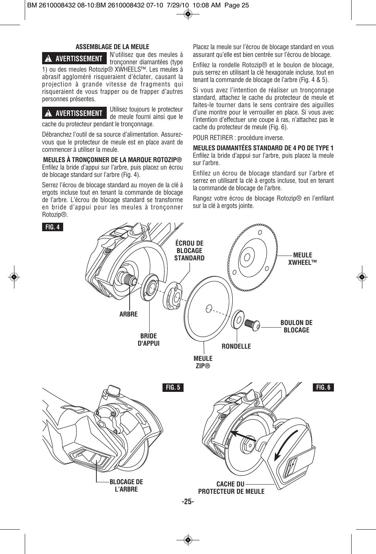#### **ASSEMBLAGE DE LA MEULE**

N'utilisez que des meules à tronçonner diamantées (type 1) ou des meules Rotozip® XWHEELS™. Les meules à abrasif aggloméré risqueraient d'éclater, causant la projection à grande vitesse de fragments qui risqueraient de vous frapper ou de frapper d'autres personnes présentes. **! AVERTISSEMENT**

Utilisez toujours le protecteur de meule fourni ainsi que le cache du protecteur pendant le tronçonnage. **! AVERTISSEMENT**

Débranchez l'outil de sa source d'alimentation. Assurezvous que le protecteur de meule est en place avant de commencer à utiliser la meule.

**MEULES À TRONÇONNER DE LA MARQUE ROTOZIP®** Enfilez la bride d'appui sur l'arbre, puis placez un écrou de blocage standard sur l'arbre (Fig. 4).

Serrez l'écrou de blocage standard au moyen de la clé à ergots incluse tout en tenant la commande de blocage de l'arbre. L'écrou de blocage standard se transforme en bride d'appui pour les meules à tronçonner Rotozip®.

Placez la meule sur l'écrou de blocage standard en vous assurant qu'elle est bien centrée sur l'écrou de blocage.

Enfilez la rondelle Rotozip® et le boulon de blocage, puis serrez en utilisant la clé hexagonale incluse, tout en tenant la commande de blocage de l'arbre (Fig. 4 & 5).

Si vous avez l'intention de réaliser un tronçonnage standard, attachez le cache du protecteur de meule et faites-le tourner dans le sens contraire des aiguilles d'une montre pour le verrouiller en place. Si vous avec l'intention d'effectuer une coupe à ras, n'attachez pas le cache du protecteur de meule (Fig. 6).

POUR RETIRER : procédure inverse.

**MEULES DIAMANTÉES STANDARD DE 4 PO DE TYPE 1** Enfilez la bride d'appui sur l'arbre, puis placez la meule sur l'arbre.

Enfilez un écrou de blocage standard sur l'arbre et serrez en utilisant la clé à ergots incluse, tout en tenant la commande de blocage de l'arbre.

Rangez votre écrou de blocage Rotozip® en l'enfilant sur la clé à ergots jointe.

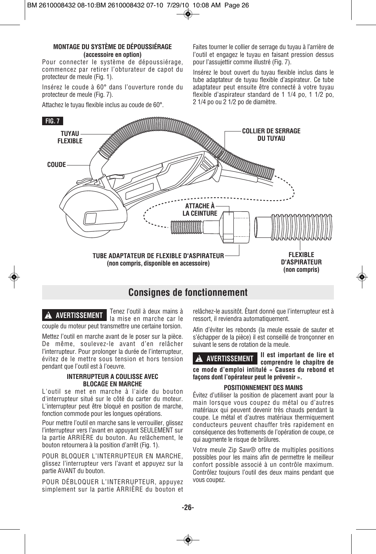### **MONTAGE DU SYSTÈME DE DÉPOUSSIÉRAGE (accessoire en option)**

Pour connecter le système de dépoussiérage, commencez par retirer l'obturateur de capot du protecteur de meule (Fig. 1).

Insérez le coude à 60° dans l'ouverture ronde du protecteur de meule (Fig. 7).

Attachez le tuyau flexible inclus au coude de 60°.

Faites tourner le collier de serrage du tuyau à l'arrière de l'outil et engagez le tuyau en faisant pression dessus pour l'assujettir comme illustré (Fig. 7).

Insérez le bout ouvert du tuyau flexible inclus dans le tube adaptateur de tuyau flexible d'aspirateur. Ce tube adaptateur peut ensuite être connecté à votre tuyau flexible d'aspirateur standard de 1 1/4 po, 1 1/2 po, 2 1/4 po ou 2 1/2 po de diamètre.



# **Consignes de fonctionnement**

Tenez l'outil à deux mains à la mise en marche car le **! AVERTISSEMENT**

couple du moteur peut transmettre une certaine torsion.

Mettez l'outil en marche avant de le poser sur la pièce. De même, soulevez-le avant d'en relâcher l'interrupteur. Pour prolonger la durée de l'interrupteur, évitez de le mettre sous tension et hors tension pendant que l'outil est à l'oeuvre.

#### **INTERRUPTEUR A COULISSE AVEC BLOCAGE EN MARCHE**

L'outil se met en marche à l'aide du bouton d'interrupteur situé sur le côté du carter du moteur. L'interrupteur peut être bloqué en position de marche, fonction commode pour les longues opérations.

Pour mettre l'outil en marche sans le verrouiller, glissez l'interrupteur vers l'avant en appuyant SEULEMENT sur la partie ARRIÈRE du bouton. Au relâchement, le bouton retournera à la position d'arrêt (Fig. 1).

POUR BLOQUER L'INTERRUPTEUR EN MARCHE, glissez l'interrupteur vers l'avant et appuyez sur la partie AVANT du bouton.

POUR DÉBLOQUER L'INTERRUPTEUR, appuyez simplement sur la partie ARRIÈRE du bouton et relâchez-le aussitôt. Étant donné que l'interrupteur est à ressort, il reviendra automatiquement.

Afin d'éviter les rebonds (la meule essaie de sauter et s'échapper de la pièce) il est conseillé de tronçonner en suivant le sens de rotation de la meule.

**Il est important de lire et comprendre le chapitre de ce mode d'emploi intitulé « Causes du rebond et façons dont l'opérateur peut le prévenir ». ! AVERTISSEMENT**

### **POSITIONNEMENT DES MAINS**

Évitez d'utiliser la position de placement avant pour la main lorsque vous coupez du métal ou d'autres matériaux qui peuvent devenir très chauds pendant la coupe. Le métal et d'autres matériaux thermiquement conducteurs peuvent chauffer très rapidement en conséquence des frottements de l'opération de coupe, ce qui augmente le risque de brûlures.

Votre meule Zip Saw® offre de multiples positions possibles pour les mains afin de permettre le meilleur confort possible associé à un contrôle maximum. Contrôlez toujours l'outil des deux mains pendant que vous coupez.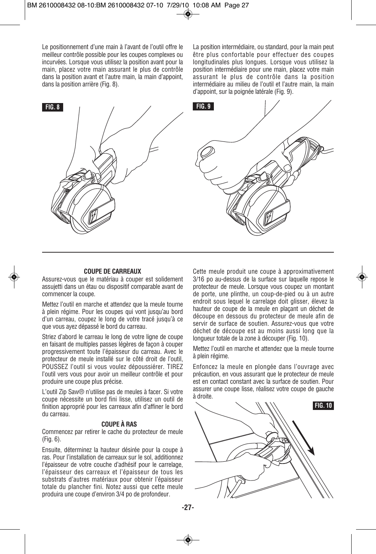Le positionnement d'une main à l'avant de l'outil offre le meilleur contrôle possible pour les coupes complexes ou incurvées. Lorsque vous utilisez la position avant pour la main, placez votre main assurant le plus de contrôle dans la position avant et l'autre main, la main d'appoint, dans la position arrière (Fig. 8).

La position intermédiaire, ou standard, pour la main peut être plus confortable pour effectuer des coupes longitudinales plus longues. Lorsque vous utilisez la position intermédiaire pour une main, placez votre main assurant le plus de contrôle dans la position intermédiaire au milieu de l'outil et l'autre main, la main d'appoint, sur la poignée latérale (Fig. 9).



#### **COUPE DE CARREAUX**

Assurez-vous que le matériau à couper est solidement assujetti dans un étau ou dispositif comparable avant de commencer la coupe.

Mettez l'outil en marche et attendez que la meule tourne à plein régime. Pour les coupes qui vont jusqu'au bord d'un carreau, coupez le long de votre tracé jusqu'à ce que vous ayez dépassé le bord du carreau.

Striez d'abord le carreau le long de votre ligne de coupe en faisant de multiples passes légères de façon à couper progressivement toute l'épaisseur du carreau. Avec le protecteur de meule installé sur le côté droit de l'outil, POUSSEZ l'outil si vous voulez dépoussiérer. TIREZ l'outil vers vous pour avoir un meilleur contrôle et pour produire une coupe plus précise.

L'outil Zip Saw® n'utilise pas de meules à facer. Si votre coupe nécessite un bord fini lisse, utilisez un outil de finition approprié pour les carreaux afin d'affiner le bord du carreau.

### **COUPE À RAS**

Commencez par retirer le cache du protecteur de meule (Fig. 6).

Ensuite, déterminez la hauteur désirée pour la coupe à ras. Pour l'installation de carreaux sur le sol, additionnez l'épaisseur de votre couche d'adhésif pour le carrelage, l'épaisseur des carreaux et l'épaisseur de tous les substrats d'autres matériaux pour obtenir l'épaisseur totale du plancher fini. Notez aussi que cette meule produira une coupe d'environ 3/4 po de profondeur.

Cette meule produit une coupe à approximativement 3/16 po au-dessus de la surface sur laquelle repose le protecteur de meule. Lorsque vous coupez un montant de porte, une plinthe, un coup-de-pied ou à un autre endroit sous lequel le carrelage doit glisser, élevez la hauteur de coupe de la meule en plaçant un déchet de découpe en dessous du protecteur de meule afin de servir de surface de soutien. Assurez-vous que votre déchet de découpe est au moins aussi long que la longueur totale de la zone à découper (Fig. 10).

Mettez l'outil en marche et attendez que la meule tourne à plein régime.

Enfoncez la meule en plongée dans l'ouvrage avec précaution, en vous assurant que le protecteur de meule est en contact constant avec la surface de soutien. Pour assurer une coupe lisse, réalisez votre coupe de gauche à droite.



**-27-**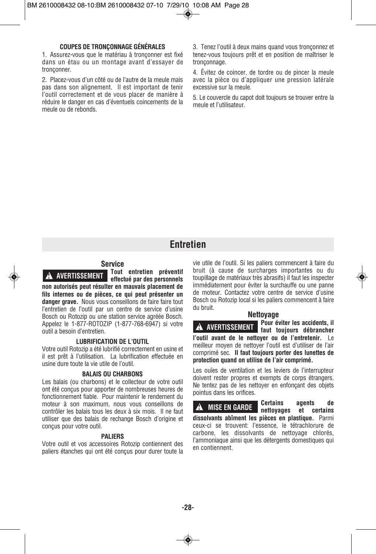#### **COUPES DE TRONÇONNAGE GÉNÉRALES**

1. Assurez-vous que le matériau à tronçonner est fixé dans un étau ou un montage avant d'essayer de tronçonner.

2. Placez-vous d'un côté ou de l'autre de la meule mais pas dans son alignement. Il est important de tenir l'outil correctement et de vous placer de manière à réduire le danger en cas d'éventuels coincements de la meule ou de rebonds.

3. Tenez l'outil à deux mains quand vous tronçonnez et tenez-vous toujours prêt et en position de maîtriser le tronçonnage.

4. Évitez de coincer, de tordre ou de pincer la meule avec la pièce ou d'appliquer une pression latérale excessive sur la meule.

5. Le couvercle du capot doit toujours se trouver entre la meule et l'utilisateur.

# **Entretien**

#### **Service**

**Tout entretien préventif effectué par des personnels non autorisés peut résulter en mauvais placement de fils internes ou de pièces, ce qui peut présenter un danger grave.** Nous vous conseillons de faire faire tout l'entretien de l'outil par un centre de service d'usine Bosch ou Rotozip ou une station service agréée Bosch. Appelez le 1-877-ROTOZIP (1-877-768-6947) si votre outil a besoin d'entretien. **! AVERTISSEMENT**

#### **LUBRIFICATION DE L'OUTIL**

Votre outil Rotozip a été lubrifié correctement en usine et il est prêt à l'utilisation. La lubrification effectuée en usine dure toute la vie utile de l'outil.

#### **BALAIS OU CHARBONS**

Les balais (ou charbons) et le collecteur de votre outil ont été conçus pour apporter de nombreuses heures de fonctionnement fiable. Pour maintenir le rendement du moteur à son maximum, nous vous conseillons de contrôler les balais tous les deux à six mois. Il ne faut utiliser que des balais de rechange Bosch d'origine et conçus pour votre outil.

#### **PALIERS**

Votre outil et vos accessoires Rotozip contiennent des paliers étanches qui ont été conçus pour durer toute la

vie utile de l'outil. Si les paliers commencent à faire du bruit (à cause de surcharges importantes ou du toupillage de matériaux très abrasifs) il faut les inspecter immédiatement pour éviter la surchauffe ou une panne de moteur. Contactez votre centre de service d'usine Bosch ou Rotozip local si les paliers commencent à faire du bruit.

### **Nettoyage**

**Pour éviter les accidents, il faut toujours débrancher l'outil avant de le nettoyer ou de l'entretenir.** Le **! AVERTISSEMENT**

meilleur moyen de nettoyer l'outil est d'utiliser de l'air comprimé sec. **Il faut toujours porter des lunettes de protection quand on utilise de l'air comprimé.**

Les ouïes de ventilation et les leviers de l'interrupteur doivent rester propres et exempts de corps étrangers. Ne tentez pas de les nettoyer en enfonçant des objets pointus dans les orifices.

**Certains agents de nettoyages et certains dissolvants abîment les pièces en plastique.** Parmi ceux-ci se trouvent: l'essence, le tétrachlorure de carbone, les dissolvants de nettoyage chlorés, l'ammoniaque ainsi que les détergents domestiques qui en contiennent. **! MISE EN GARDE**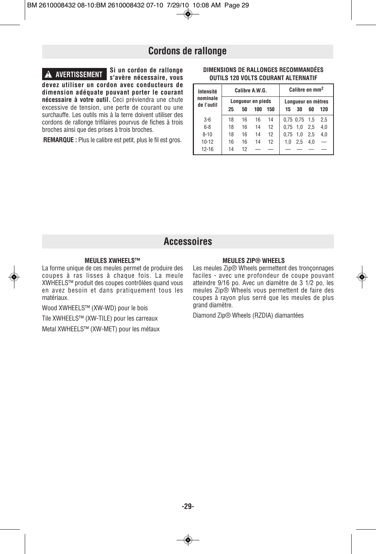# **Cordons de rallonge**

**Si un cordon de rallonge s'avère nécessaire, vous devez utiliser un cordon avec conducteurs de**

**dimension adéquate pouvant porter le courant nécessaire à votre outil.** Ceci préviendra une chute excessive de tension, une perte de courant ou une surchauffe. Les outils mis à la terre doivent utiliser des cordons de rallonge trifilaires pourvus de fiches à trois broches ainsi que des prises à trois broches.

**REMARQUE :** Plus le calibre est petit, plus le fil est gros.

### **DIMENSIONS DE RALLONGES RECOMMANDÉES OUTILS 120 YOUTILS 120 YOUTHERNATIFIED ALTERNATIES**<br> **OUTILS 120 VOLTS COURANT ALTERNATIF**

| Intensité              | Calibre A.W.G.    |    |     |     | Calibre en mm <sup>2</sup> |                   |     |     |
|------------------------|-------------------|----|-----|-----|----------------------------|-------------------|-----|-----|
| nominale<br>de l'outil | Lonqueur en pieds |    |     |     | Longueur en mètres         |                   |     |     |
|                        | 25                | 50 | 100 | 150 | 15                         | 30                | 60  | 120 |
| $3-6$                  | 18                | 16 | 16  | 14  |                            | $0.75$ $0.75$ 1.5 |     | 2.5 |
| $6 - 8$                | 18                | 16 | 14  | 12  | 0.75                       | 1.0               | 2.5 | 4,0 |
| $8 - 10$               | 18                | 16 | 14  | 12  | 0.75                       | 1.0               | 2.5 | 4,0 |
| $10 - 12$              | 16                | 16 | 14  | 12  | 1.0                        | 2.5               | 4.0 |     |
| $12 - 16$              | 14                | 12 |     |     |                            |                   |     |     |

# **Accessoires**

### **MEULES XWHEELS™**

La forme unique de ces meules permet de produire des coupes à ras lisses à chaque fois. La meule XWHEELS™ produit des coupes contrôlées quand vous en avez besoin et dans pratiquement tous les matériaux.

Wood XWHEELS™ (XW-WD) pour le bois

Tile XWHEELS™ (XW-TILE) pour les carreaux

Metal XWHEELS™ (XW-MET) pour les métaux

### **MEULES ZIP® WHEELS**

Les meules Zip® Wheels permettent des tronçonnages faciles - avec une profondeur de coupe pouvant atteindre 9/16 po. Avec un diamètre de 3 1/2 po, les meules Zip® Wheels vous permettent de faire des coupes à rayon plus serré que les meules de plus grand diamètre.

Diamond Zip® Wheels (RZDIA) diamantées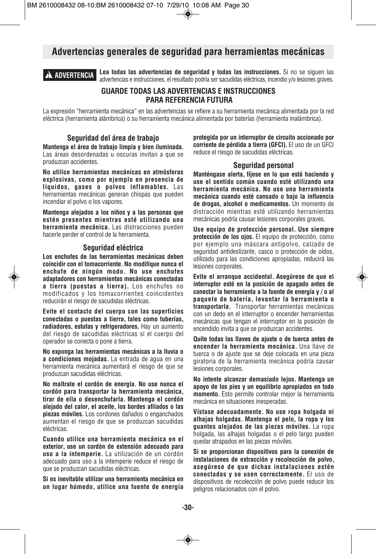# **Advertencias generales de seguridad para herramientas mecánicas**



**Lea todas las advertencias de seguridad y todas las instrucciones.** Si no se siguen las advertencias e instrucciones, el resultado podría ser sacudidas eléctricas, incendio y/o lesiones graves.

## **GUARDE TODAS LAS ADVERTENCIAS E INSTRUCCIONES PARA REFERENCIA FUTURA**

La expresión "herramienta mecánica" en las advertencias se refiere a su herramienta mecánica alimentada por la red eléctrica (herramienta alámbrica) o su herramienta mecánica alimentada por baterías (herramienta inalámbrica).

### **Seguridad del área de trabajo**

**Mantenga el área de trabajo limpia y bien iluminada.** Las áreas desordenadas u oscuras invitan a que se produzcan accidentes.

**No utilice herramientas mecánicas en atmósferas explosivas, como por ejemplo en presencia de líquidos, gases o polvos inflamables.** Las herramientas mecánicas generan chispas que pueden incendiar el polvo o los vapores.

**Mantenga alejados a los niños y a las personas que estén presentes mientras esté utilizando una herramienta mecánica.** Las distracciones pueden hacerle perder el control de la herramienta.

### **Seguridad eléctrica**

**Los enchufes de las herramientas mecánicas deben coincidir con el tomacorriente. No modifique nunca el enchufe de ningún modo. No use enchufes adaptadores con herramientas mecánicas conectadas a tierra (puestas a tierra).** Los enchufes no modificados y los tomacorrientes coincidentes reducirán el riesgo de sacudidas eléctricas.

**Evite el contacto del cuerpo con las superficies conectadas o puestas a tierra, tales como tuberías, radiadores, estufas y refrigeradores.** Hay un aumento del riesgo de sacudidas eléctricas si el cuerpo del operador se conecta o pone a tierra.

**No exponga las herramientas mecánicas a la lluvia o a condiciones mojadas.** La entrada de agua en una herramienta mecánica aumentará el riesgo de que se produzcan sacudidas eléctricas.

**No maltrate el cordón de energía. No use nunca el cordón para transportar la herramienta mecánica, tirar de ella o desenchufarla. Mantenga el cordón alejado del calor, el aceite, los bordes afilados o las piezas móviles.** Los cordones dañados o enganchados aumentan el riesgo de que se produzcan sacudidas eléctricas.

**Cuando utilice una herramienta mecánica en el exterior, use un cordón de extensión adecuado para uso a la intemperie.** La utilización de un cordón adecuado para uso a la intemperie reduce el riesgo de que se produzcan sacudidas eléctricas.

**Si es inevitable utilizar una herramienta mecánica en un lugar húmedo, utilice una fuente de energía** **protegida por un interruptor de circuito accionado por corriente de pérdida a tierra (GFCI).** El uso de un GFCI reduce el riesgo de sacudidas eléctricas.

#### **Seguridad personal**

**Manténgase alerta, fíjese en lo que está haciendo y use el sentido común cuando esté utilizando una herramienta mecánica. No use una herramienta mecánica cuando esté cansado o bajo la influencia de drogas, alcohol o medicamentos.** Un momento de distracción mientras esté utilizando herramientas mecánicas podría causar lesiones corporales graves.

**Use equipo de protección personal. Use siempre protección de los ojos.** El equipo de protección, como por ejemplo una máscara antipolvo, calzado de seguridad antideslizante, casco o protección de oídos, utilizado para las condiciones apropiadas, reducirá las lesiones corporales.

**Evite el arranque accidental. Asegúrese de que el interruptor esté en la posición de apagado antes de conectar la herramienta a la fuente de energía y / o al paquete de batería, levantar la herramienta o transportarla.** Transportar herramientas mecánicas con un dedo en el interruptor o encender herramientas mecánicas que tengan el interruptor en la posición de encendido invita a que se produzcan accidentes.

**Quite todas las llaves de ajuste o de tuerca antes de encender la herramienta mecánica.** Una llave de tuerca o de ajuste que se deje colocada en una pieza giratoria de la herramienta mecánica podría causar lesiones corporales.

**No intente alcanzar demasiado lejos. Mantenga un apoyo de los pies y un equilibrio apropiados en todo momento.** Esto permite controlar mejor la herramienta mecánica en situaciones inesperadas.

**Vístase adecuadamente. No use ropa holgada ni alhajas holgadas. Mantenga el pelo, la ropa y los guantes alejados de las piezas móviles.** La ropa holgada, las alhajas holgadas o el pelo largo pueden quedar atrapados en las piezas móviles.

**Si se proporcionan dispositivos para la conexión de instalaciones de extracción y recolección de polvo, asegúrese de que dichas instalaciones estén conectadas y se usen correctamente.** El uso de dispositivos de recolección de polvo puede reducir los peligros relacionados con el polvo.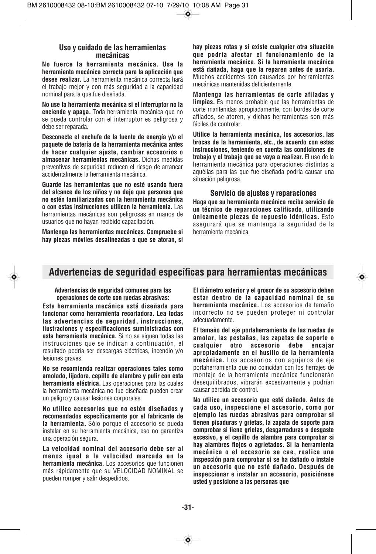### **Uso y cuidado de las herramientas mecánicas**

**No fuerce la herramienta mecánica. Use la herramienta mecánica correcta para la aplicación que desee realizar.** La herramienta mecánica correcta hará el trabajo mejor y con más seguridad a la capacidad nominal para la que fue diseñada.

**No use la herramienta mecánica si el interruptor no la enciende y apaga.** Toda herramienta mecánica que no se pueda controlar con el interruptor es peligrosa y debe ser reparada.

**Desconecte el enchufe de la fuente de energía y/o el paquete de batería de la herramienta mecánica antes de hacer cualquier ajuste, cambiar accesorios o almacenar herramientas mecánicas.** Dichas medidas preventivas de seguridad reducen el riesgo de arrancar accidentalmente la herramienta mecánica.

**Guarde las herramientas que no esté usando fuera del alcance de los niños y no deje que personas que no estén familiarizadas con la herramienta mecánica o con estas instrucciones utilicen la herramienta.** Las herramientas mecánicas son peligrosas en manos de usuarios que no hayan recibido capacitación.

**Mantenga las herramientas mecánicas. Compruebe si hay piezas móviles desalineadas o que se atoran, si** **hay piezas rotas y si existe cualquier otra situación que podría afectar el funcionamiento de la herramienta mecánica. Si la herramienta mecánica está dañada, haga que la reparen antes de usarla.** Muchos accidentes son causados por herramientas mecánicas mantenidas deficientemente.

**Mantenga las herramientas de corte afiladas y limpias.** Es menos probable que las herramientas de corte mantenidas apropiadamente, con bordes de corte afilados, se atoren, y dichas herramientas son más fáciles de controlar.

**Utilice la herramienta mecánica, los accesorios, las brocas de la herramienta, etc., de acuerdo con estas instrucciones, teniendo en cuenta las condiciones de trabajo y el trabajo que se vaya a realizar.** El uso de la herramienta mecánica para operaciones distintas a aquéllas para las que fue diseñada podría causar una situación peligrosa.

**Servicio de ajustes y reparaciones Haga que su herramienta mecánica reciba servicio de**

**un técnico de reparaciones calificado, utilizando únicamente piezas de repuesto idénticas.** Esto asegurará que se mantenga la seguridad de la herramienta mecánica.

# **Advertencias de seguridad específicas para herramientas mecánicas**

**Advertencias de seguridad comunes para las operaciones de corte con ruedas abrasivas:**

**Esta herramienta mecánica está diseñada para funcionar como herramienta recortadora. Lea todas las advertencias de seguridad, instrucciones, ilustraciones y especificaciones suministradas con esta herramienta mecánica.** Si no se siguen todas las instrucciones que se indican a continuación, el resultado podría ser descargas eléctricas, incendio y/o lesiones graves.

**No se recomienda realizar operaciones tales como amolado, lijadora, cepillo de alambre y pulir con esta herramienta eléctrica.** Las operaciones para las cuales la herramienta mecánica no fue diseñada pueden crear un peligro y causar lesiones corporales.

**No utilice accesorios que no estén diseñados y recomendados específicamente por el fabricante de la herramienta.** Sólo porque el accesorio se pueda instalar en su herramienta mecánica, eso no garantiza una operación segura.

**La velocidad nominal del accesorio debe ser al menos igual a la velocidad marcada en la herramienta mecánica.** Los accesorios que funcionen más rápidamente que su VELOCIDAD NOMINAL se pueden romper y salir despedidos.

**El diámetro exterior y el grosor de su accesorio deben estar dentro de la capacidad nominal de su herramienta mecánica.** Los accesorios de tamaño incorrecto no se pueden proteger ni controlar adecuadamente.

**El tamaño del eje portaherramienta de las ruedas de amolar, las pestañas, las zapatas de soporte o cualquier otro accesorio debe encajar apropiadamente en el husillo de la herramienta mecánica.** Los accesorios con agujeros de eje portaherramienta que no coincidan con los herrajes de montaje de la herramienta mecánica funcionarán desequilibrados, vibrarán excesivamente y podrían causar pérdida de control.

**No utilice un accesorio que esté dañado. Antes de cada uso, inspeccione el accesorio, como por ejemplo las ruedas abrasivas para comprobar si tienen picaduras y grietas, la zapata de soporte para comprobar si tiene grietas, desgarraduras o desgaste excesivo, y el cepillo de alambre para comprobar si hay alambres flojos o agrietados. Si la herramienta mecánica o el accesorio se cae, realice una inspección para comprobar si se ha dañado o instale un accesorio que no esté dañado. Después de inspeccionar e instalar un accesorio, posiciónese usted y posicione a las personas que**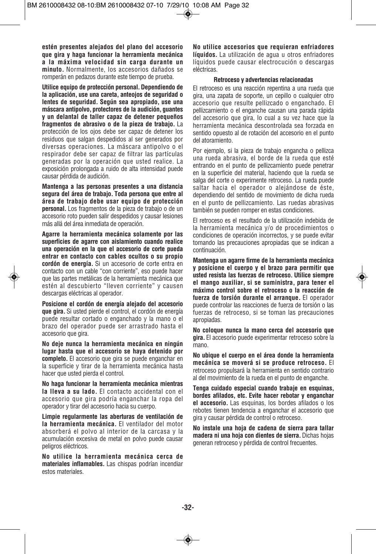**estén presentes alejados del plano del accesorio que gira y haga funcionar la herramienta mecánica a la máxima velocidad sin carga durante un minuto.** Normalmente, los accesorios dañados se romperán en pedazos durante este tiempo de prueba.

**Utilice equipo de protección personal. Dependiendo de la aplicación, use una careta, anteojos de seguridad o lentes de seguridad. Según sea apropiado, use una máscara antipolvo, protectores de la audición, guantes y un delantal de taller capaz de detener pequeños fragmentos de abrasivo o de la pieza de trabajo.** La protección de los ojos debe ser capaz de detener los residuos que salgan despedidos al ser generados por diversas operaciones. La máscara antipolvo o el respirador debe ser capaz de filtrar las partículas generadas por la operación que usted realice. La exposición prolongada a ruido de alta intensidad puede causar pérdida de audición.

**Mantenga a las personas presentes a una distancia segura del área de trabajo. Toda persona que entre al área de trabajo debe usar equipo de protección personal.** Los fragmentos de la pieza de trabajo o de un accesorio roto pueden salir despedidos y causar lesiones más allá del área inmediata de operación.

**Agarre la herramienta mecánica solamente por las superficies de agarre con aislamiento cuando realice una operación en la que el accesorio de corte pueda entrar en contacto con cables ocultos o su propio cordón de energía.** Si un accesorio de corte entra en contacto con un cable "con corriente", eso puede hacer que las partes metálicas de la herramienta mecánica que estén al descubierto "lleven corriente" y causen descargas eléctricas al operador.

**Posicione el cordón de energía alejado del accesorio que gira.** Si usted pierde el control, el cordón de energía puede resultar cortado o enganchado y la mano o el brazo del operador puede ser arrastrado hasta el accesorio que gira.

**No deje nunca la herramienta mecánica en ningún lugar hasta que el accesorio se haya detenido por completo.** El accesorio que gira se puede enganchar en la superficie y tirar de la herramienta mecánica hasta hacer que usted pierda el control.

**No haga funcionar la herramienta mecánica mientras la lleva a su lado.** El contacto accidental con el accesorio que gira podría enganchar la ropa del operador y tirar del accesorio hacia su cuerpo.

**Limpie regularmente las aberturas de ventilación de la herramienta mecánica.** El ventilador del motor absorberá el polvo al interior de la carcasa y la acumulación excesiva de metal en polvo puede causar peligros eléctricos.

**No utilice la herramienta mecánica cerca de materiales inflamables.** Las chispas podrían incendiar estos materiales.

**No utilice accesorios que requieran enfriadores líquidos.** La utilización de agua u otros enfriadores líquidos puede causar electrocución o descargas eléctricas.

#### **Retroceso y advertencias relacionadas**

El retroceso es una reacción repentina a una rueda que gira, una zapata de soporte, un cepillo o cualquier otro accesorio que resulte pellizcado o enganchado. El pellizcamiento o el enganche causan una parada rápida del accesorio que gira, lo cual a su vez hace que la herramienta mecánica descontrolada sea forzada en sentido opuesto al de rotación del accesorio en el punto del atoramiento.

Por ejemplo, si la pieza de trabajo engancha o pellizca una rueda abrasiva, el borde de la rueda que esté entrando en el punto de pellizcamiento puede penetrar en la superficie del material, haciendo que la rueda se salga del corte o experimente retroceso. La rueda puede saltar hacia el operador o alejándose de éste, dependiendo del sentido de movimiento de dicha rueda en el punto de pellizcamiento. Las ruedas abrasivas también se pueden romper en estas condiciones.

El retroceso es el resultado de la utilización indebida de la herramienta mecánica y/o de procedimientos o condiciones de operación incorrectos, y se puede evitar tomando las precauciones apropiadas que se indican a continuación.

**Mantenga un agarre firme de la herramienta mecánica y posicione el cuerpo y el brazo para permitir que usted resista las fuerzas de retroceso. Utilice siempre el mango auxiliar, si se suministra, para tener el máximo control sobre el retroceso o la reacción de fuerza de torsión durante el arranque.** El operador puede controlar las reacciones de fuerza de torsión o las fuerzas de retroceso, si se toman las precauciones apropiadas.

**No coloque nunca la mano cerca del accesorio que gira.** El accesorio puede experimentar retroceso sobre la mano.

**No ubique el cuerpo en el área donde la herramienta mecánica se moverá si se produce retroceso.** El retroceso propulsará la herramienta en sentido contrario al del movimiento de la rueda en el punto de enganche.

**Tenga cuidado especial cuando trabaje en esquinas, bordes afilados, etc. Evite hacer rebotar y enganchar el accesorio.** Las esquinas, los bordes afilados o los rebotes tienen tendencia a enganchar el accesorio que gira y causar pérdida de control o retroceso.

**No instale una hoja de cadena de sierra para tallar madera ni una hoja con dientes de sierra.** Dichas hojas generan retroceso y pérdida de control frecuentes.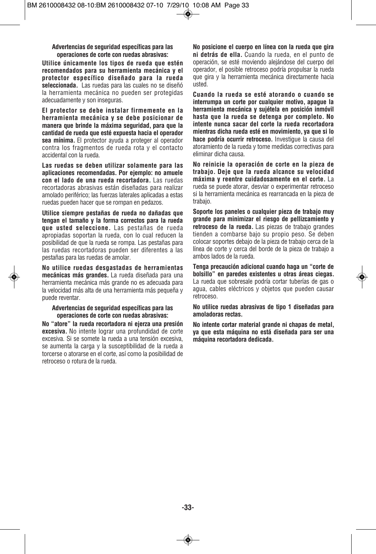#### **Advertencias de seguridad específicas para las operaciones de corte con ruedas abrasivas:**

**Utilice únicamente los tipos de rueda que estén recomendados para su herramienta mecánica y el protector específico diseñado para la rueda seleccionada.** Las ruedas para las cuales no se diseñó la herramienta mecánica no pueden ser protegidas adecuadamente y son inseguras.

**El protector se debe instalar firmemente en la herramienta mecánica y se debe posicionar de manera que brinde la máxima seguridad, para que la cantidad de rueda que esté expuesta hacia el operador sea mínima.** El protector ayuda a proteger al operador contra los fragmentos de rueda rota y el contacto accidental con la rueda.

**Las ruedas se deben utilizar solamente para las aplicaciones recomendadas. Por ejemplo: no amuele con el lado de una rueda recortadora.** Las ruedas recortadoras abrasivas están diseñadas para realizar amolado periférico; las fuerzas laterales aplicadas a estas ruedas pueden hacer que se rompan en pedazos.

**Utilice siempre pestañas de rueda no dañadas que tengan el tamaño y la forma correctos para la rueda que usted seleccione.** Las pestañas de rueda apropiadas soportan la rueda, con lo cual reducen la posibilidad de que la rueda se rompa. Las pestañas para las ruedas recortadoras pueden ser diferentes a las pestañas para las ruedas de amolar.

**No utilice ruedas desgastadas de herramientas mecánicas más grandes.** La rueda diseñada para una herramienta mecánica más grande no es adecuada para la velocidad más alta de una herramienta más pequeña y puede reventar.

#### **Advertencias de seguridad específicas para las operaciones de corte con ruedas abrasivas:**

**No "atore" la rueda recortadora ni ejerza una presión excesiva.** No intente lograr una profundidad de corte excesiva. Si se somete la rueda a una tensión excesiva, se aumenta la carga y la susceptibilidad de la rueda a torcerse o atorarse en el corte, así como la posibilidad de retroceso o rotura de la rueda.

**No posicione el cuerpo en línea con la rueda que gira ni detrás de ella.** Cuando la rueda, en el punto de operación, se esté moviendo alejándose del cuerpo del operador, el posible retroceso podría propulsar la rueda que gira y la herramienta mecánica directamente hacia usted.

**Cuando la rueda se esté atorando o cuando se interrumpa un corte por cualquier motivo, apague la herramienta mecánica y sujétela en posición inmóvil hasta que la rueda se detenga por completo. No intente nunca sacar del corte la rueda recortadora mientras dicha rueda esté en movimiento, ya que si lo hace podría ocurrir retroceso.** Investigue la causa del atoramiento de la rueda y tome medidas correctivas para eliminar dicha causa.

**No reinicie la operación de corte en la pieza de trabajo. Deje que la rueda alcance su velocidad máxima y reentre cuidadosamente en el corte.** La rueda se puede atorar, desviar o experimentar retroceso si la herramienta mecánica es rearrancada en la pieza de trabajo.

**Soporte los paneles o cualquier pieza de trabajo muy grande para minimizar el riesgo de pellizcamiento y retroceso de la rueda.** Las piezas de trabajo grandes tienden a combarse bajo su propio peso. Se deben colocar soportes debajo de la pieza de trabajo cerca de la línea de corte y cerca del borde de la pieza de trabajo a ambos lados de la rueda.

**Tenga precaución adicional cuando haga un "corte de bolsillo" en paredes existentes u otras áreas ciegas.** La rueda que sobresale podría cortar tuberías de gas o agua, cables eléctricos y objetos que pueden causar retroceso.

**No utilice ruedas abrasivas de tipo 1 diseñadas para amoladoras rectas.**

**No intente cortar material grande ni chapas de metal, ya que esta máquina no está diseñada para ser una máquina recortadora dedicada.**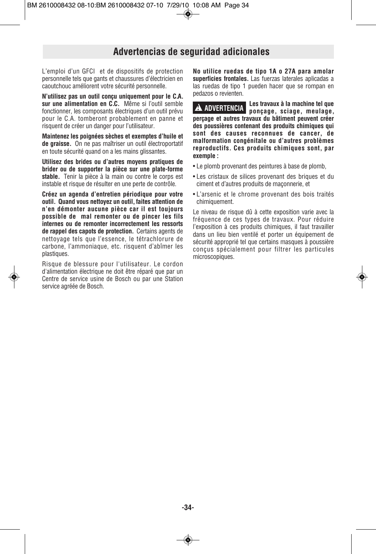# **Advertencias de seguridad adicionales**

L'emploi d'un GFCI et de dispositifs de protection personnelle tels que gants et chaussures d'électricien en caoutchouc améliorent votre sécurité personnelle.

**N'utilisez pas un outil conçu uniquement pour le C.A. sur une alimentation en C.C.** Même si l'outil semble fonctionner, les composants électriques d'un outil prévu pour le C.A. tomberont probablement en panne et risquent de créer un danger pour l'utilisateur.

**Maintenez les poignées sèches et exemptes d'huile et de graisse.** On ne pas maîtriser un outil électroportatif en toute sécurité quand on a les mains glissantes.

**Utilisez des brides ou d'autres moyens pratiques de brider ou de supporter la pièce sur une plate-forme stable.** Tenir la pièce à la main ou contre le corps est instable et risque de résulter en une perte de contrôle.

**Créez un agenda d'entretien périodique pour votre outil. Quand vous nettoyez un outil, faites attention de n'en démonter aucune pièce car il est toujours possible de mal remonter ou de pincer les fils internes ou de remonter incorrectement les ressorts de rappel des capots de protection.** Certains agents de nettoyage tels que l'essence, le tétrachlorure de carbone, l'ammoniaque, etc. risquent d'abîmer les plastiques.

Risque de blessure pour l'utilisateur. Le cordon d'alimentation électrique ne doit être réparé que par un Centre de service usine de Bosch ou par une Station service agréée de Bosch.

**No utilice ruedas de tipo 1A o 27A para amolar superficies frontales.** Las fuerzas laterales aplicadas a las ruedas de tipo 1 pueden hacer que se rompan en pedazos o revienten.

**Les travaux à la machine tel que ponçage, sciage, meulage, perçage et autres travaux du bâtiment peuvent créer des poussières contenant des produits chimiques qui sont des causes reconnues de cancer, de malformation congénitale ou d'autres problèmes reproductifs. Ces produits chimiques sont, par exemple : ! ADVERTENCIA**

- Le plomb provenant des peintures à base de plomb,
- Les cristaux de silices provenant des briques et du ciment et d'autres produits de maçonnerie, et
- L'arsenic et le chrome provenant des bois traités chimiquement.

Le niveau de risque dû à cette exposition varie avec la fréquence de ces types de travaux. Pour réduire l'exposition à ces produits chimiques, il faut travailler dans un lieu bien ventilé et porter un équipement de sécurité approprié tel que certains masques à poussière conçus spécialement pour filtrer les particules microscopiques.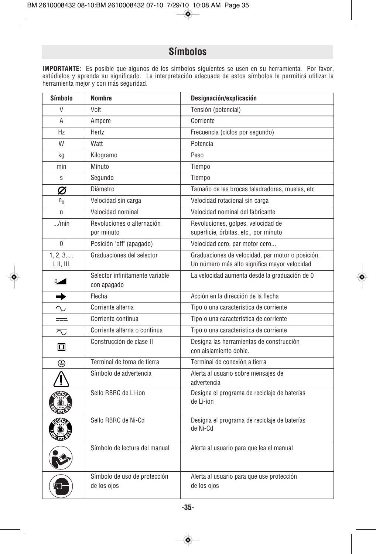# **Símbolos**

۸

**IMPORTANTE:** Es posible que algunos de los símbolos siguientes se usen en su herramienta. Por favor, estúdielos y aprenda su significado. La interpretación adecuada de estos símbolos le permitirá utilizar la herramienta mejor y con más seguridad.

| Símbolo     | <b>Nombre</b>                                  | Designación/explicación                                                     |  |  |  |  |
|-------------|------------------------------------------------|-----------------------------------------------------------------------------|--|--|--|--|
| V           | Volt                                           | Tensión (potencial)                                                         |  |  |  |  |
| Α           | Ampere                                         | Corriente                                                                   |  |  |  |  |
| Hz          | Hertz                                          | Frecuencia (ciclos por segundo)                                             |  |  |  |  |
| W           | Watt                                           | Potencia                                                                    |  |  |  |  |
| kg          | Kilogramo                                      | Peso                                                                        |  |  |  |  |
| min         | Minuto                                         | Tiempo                                                                      |  |  |  |  |
| S           | Segundo                                        | Tiempo                                                                      |  |  |  |  |
| Ø           | Diámetro                                       | Tamaño de las brocas taladradoras, muelas, etc                              |  |  |  |  |
| $n_0$       | Velocidad sin carga                            | Velocidad rotacional sin carga                                              |  |  |  |  |
| n           | Velocidad nominal                              | Velocidad nominal del fabricante                                            |  |  |  |  |
| /min        | Revoluciones o alternación<br>por minuto       | Revoluciones, golpes, velocidad de<br>superficie, órbitas, etc., por minuto |  |  |  |  |
| 0           | Posición "off" (apagado)                       | Velocidad cero, par motor cero                                              |  |  |  |  |
| 1, 2, 3,    | Graduaciones del selector                      | Graduaciones de velocidad, par motor o posición.                            |  |  |  |  |
| I, II, III, |                                                | Un número más alto significa mayor velocidad                                |  |  |  |  |
| $\sim$      | Selector infinitamente variable<br>con apagado | La velocidad aumenta desde la graduación de 0                               |  |  |  |  |
| ➡           | Flecha                                         | Acción en la dirección de la flecha                                         |  |  |  |  |
|             | Corriente alterna                              | Tipo o una característica de corriente                                      |  |  |  |  |
| $=$         | Corriente continua                             | Tipo o una característica de corriente                                      |  |  |  |  |
| ᅐ           | Corriente alterna o continua                   | Tipo o una característica de corriente                                      |  |  |  |  |
| IОI         | Construcción de clase II                       | Designa las herramientas de construcción<br>con aislamiento doble.          |  |  |  |  |
| ⊕           | Terminal de toma de tierra                     | Terminal de conexión a tierra                                               |  |  |  |  |
|             | Símbolo de advertencia                         | Alerta al usuario sobre mensajes de<br>advertencia                          |  |  |  |  |
|             | Sello RBRC de Li-ion                           | Designa el programa de reciclaje de baterías<br>de Li-ion                   |  |  |  |  |
|             | Sello RBRC de Ni-Cd                            | Designa el programa de reciclaje de baterías<br>de Ni-Cd                    |  |  |  |  |
|             | Símbolo de lectura del manual                  | Alerta al usuario para que lea el manual                                    |  |  |  |  |
|             | Símbolo de uso de protección<br>de los ojos    | Alerta al usuario para que use protección<br>de los ojos                    |  |  |  |  |

**-35-**

◈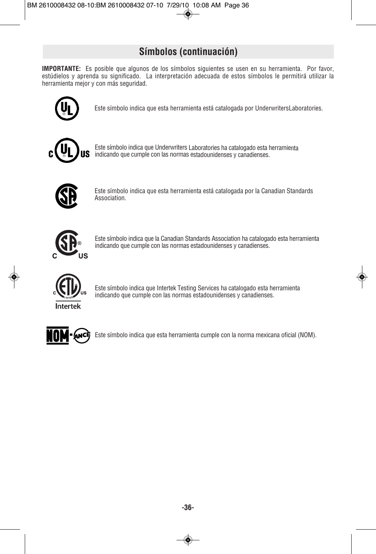# **Símbolos (continuación)**

**IMPORTANTE:** Es posible que algunos de los símbolos siguientes se usen en su herramienta. Por favor, estúdielos y aprenda su significado. La interpretación adecuada de estos símbolos le permitirá utilizar la herramienta mejor y con más seguridad.



Este símbolo indica que esta herramienta está catalogada por UnderwritersLaboratories.



Este símbolo indica que Underwriters Laboratories ha catalogado esta herramienta indicando que cumple con las normas estadounidenses y canadienses.



Este símbolo indica que esta herramienta está catalogada por la Canadian Standards Association.



Este símbolo indica que la Canadian Standards Association ha catalogado esta herramienta indicando que cumple con las normas estadounidenses y canadienses.



Este símbolo indica que Intertek Testing Services ha catalogado esta herramienta indicando que cumple con las normas estadounidenses y canadienses.



Este símbolo indica que esta herramienta cumple con la norma mexicana oficial (NOM).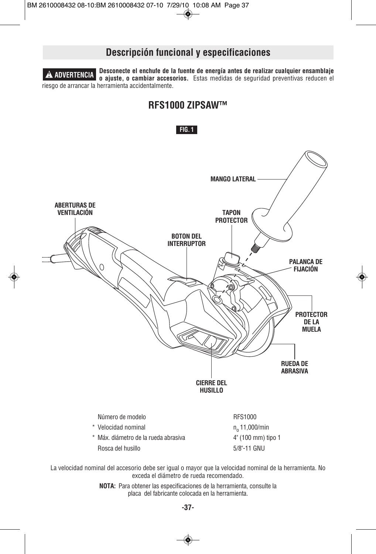

**Desconecte el enchufe de la fuente de energía antes de realizar cualquier ensamblaje o ajuste, o cambiar accesorios.** Estas medidas de seguridad preventivas reducen el riesgo de arrancar la herramienta accidentalmente. **! ADVERTENCIA**



 $*$  Velocidad nominal no  $n_0$  11,000/min

\* Máx. diámetro de la rueda abrasiva 4" (100 mm) tipo 1 Rosca del husillo 6/8"-11 GNU

La velocidad nominal del accesorio debe ser igual o mayor que la velocidad nominal de la herramienta. No exceda el diámetro de rueda recomendado.

> **NOTA:** Para obtener las especificaciones de la herramienta, consulte la placa del fabricante colocada en la herramienta.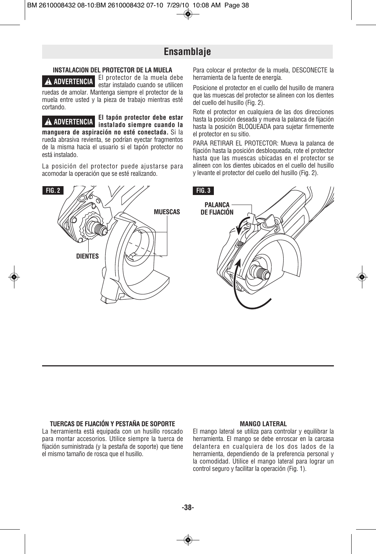# **Ensamblaje**

### **INSTALACION DEL PROTECTOR DE LA MUELA**

El protector de la muela debe **Example 2** Figures Liga Cuando se utilicencia de la ADVERTENCIA estar instalado cuando se utilicen ruedas de amolar. Mantenga siempre el protector de la muela entre usted y la pieza de trabajo mientras esté cortando.

**El tapón protector debe estar instalado siempre cuando la ! ADVERTENCIA manguera de aspiración no esté conectada.** Si la rueda abrasiva revienta, se podrían eyectar fragmentos de la misma hacia el usuario si el tapón protector no está instalado.

La posición del protector puede ajustarse para acomodar la operación que se esté realizando.

**FIG. 2 DIENTES MUESCAS** Para colocar el protector de la muela, DESCONECTE la herramienta de la fuente de energía.

Posicione el protector en el cuello del husillo de manera que las muescas del protector se alineen con los dientes del cuello del husillo (Fig. 2).

Rote el protector en cualquiera de las dos direcciones hasta la posición deseada y mueva la palanca de fijación hasta la posición BLOQUEADA para sujetar firmemente el protector en su sitio.

PARA RETIRAR EL PROTECTOR: Mueva la palanca de fijación hasta la posición desbloqueada, rote el protector hasta que las muescas ubicadas en el protector se alineen con los dientes ubicados en el cuello del husillo y levante el protector del cuello del husillo (Fig. 2).



### **TUERCAS DE FIJACIÓN Y PESTAÑA DE SOPORTE**

La herramienta está equipada con un husillo roscado para montar accesorios. Utilice siempre la tuerca de fijación suministrada (y la pestaña de soporte) que tiene el mismo tamaño de rosca que el husillo.

#### **MANGO LATERAL**

El mango lateral se utiliza para controlar y equilibrar la herramienta. El mango se debe enroscar en la carcasa delantera en cualquiera de los dos lados de la herramienta, dependiendo de la preferencia personal y la comodidad. Utilice el mango lateral para lograr un control seguro y facilitar la operación (Fig. 1).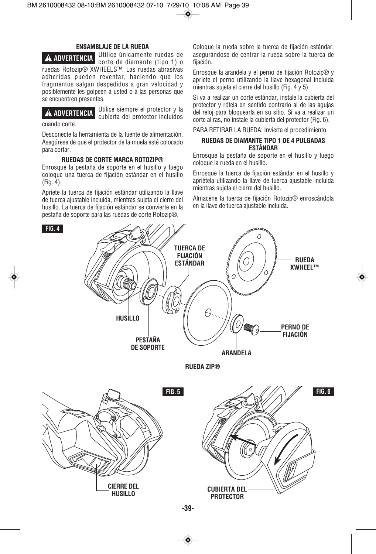### **ENSAMBLAJE DE LA RUEDA**

Utilice únicamente ruedas de corte de diamante (tipo 1) o ruedas Rotozip® XWHEELS™. Las ruedas abrasivas adheridas pueden reventar, haciendo que los fragmentos salgan despedidos a gran velocidad y posiblemente les golpeen a usted o a las personas que se encuentren presentes. **! ADVERTENCIA**

Utilice siempre el protector y la **A ADVERTENCIA** cubierta del protector incluidos

cuando corte.

Desconecte la herramienta de la fuente de alimentación. Asegúrese de que el protector de la muela esté colocado para cortar.

### **RUEDAS DE CORTE MARCA ROTOZIP®**

Enrosque la pestaña de soporte en el husillo y luego coloque una tuerca de fijación estándar en el husillo (Fig. 4).

Apriete la tuerca de fijación estándar utilizando la llave de tuerca ajustable incluida, mientras sujeta el cierre del husillo. La tuerca de fijación estándar se convierte en la pestaña de soporte para las ruedas de corte Rotozip®.

Coloque la rueda sobre la tuerca de fijación estándar, asegurándose de centrar la rueda sobre la tuerca de fijación.

Enrosque la arandela y el perno de fijación Rotozip® y apriete el perno utilizando la llave hexagonal incluida mientras sujeta el cierre del husillo (Fig. 4 y 5).

Si va a realizar un corte estándar, instale la cubierta del protector y rótela en sentido contrario al de las agujas del reloj para bloquearla en su sitio. Si va a realizar un corte al ras, no instale la cubierta del protector (Fig. 6).

PARA RETIRAR LA RUEDA: Invierta el procedimiento.

#### **RUEDAS DE DIAMANTE TIPO 1 DE 4 PULGADAS ESTÁNDAR**

Enrosque la pestaña de soporte en el husillo y luego coloque la rueda en el husillo.

Enrosque la tuerca de fijación estándar en el husillo y apriétela utilizando la llave de tuerca ajustable incluida mientras sujeta el cierre del husillo.

Almacene la tuerca de fijación Rotozip® enroscándola en la llave de tuerca ajustable incluida.

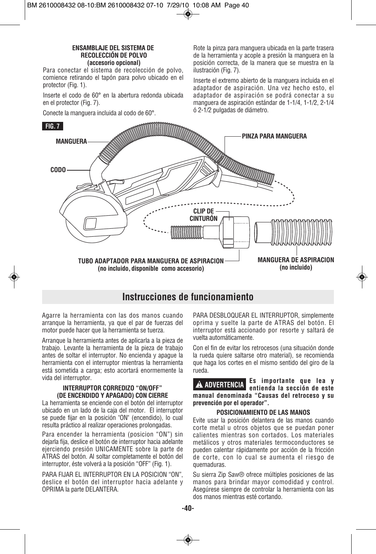#### **ENSAMBLAJE DEL SISTEMA DE RECOLECCIÓN DE POLVO (accesorio opcional)**

Para conectar el sistema de recolección de polvo, comience retirando el tapón para polvo ubicado en el protector (Fig. 1).

Inserte el codo de 60° en la abertura redonda ubicada en el protector (Fig. 7).

Conecte la manguera incluida al codo de 60°.

Rote la pinza para manguera ubicada en la parte trasera de la herramienta y acople a presión la manguera en la posición correcta, de la manera que se muestra en la ilustración (Fig. 7).

Inserte el extremo abierto de la manguera incluida en el adaptador de aspiración. Una vez hecho esto, el adaptador de aspiración se podrá conectar a su manguera de aspiración estándar de 1-1/4, 1-1/2, 2-1/4 ó 2-1/2 pulgadas de diámetro.



# **Instrucciones de funcionamiento**

Agarre la herramienta con las dos manos cuando arranque la herramienta, ya que el par de fuerzas del motor puede hacer que la herramienta se tuerza.

Arranque la herramienta antes de aplicarla a la pieza de trabajo. Levante la herramienta de la pieza de trabajo antes de soltar el interruptor. No encienda y apague la herramienta con el interruptor mientras la herramienta está sometida a carga; esto acortará enormemente la vida del interruptor.

### **INTERRUPTOR CORREDIZO "ON/OFF" (DE ENCENDIDO Y APAGADO) CON CIERRE**

La herramienta se enciende con el botón del interruptor ubicado en un lado de la caja del motor. El interruptor se puede fijar en la posición "ON" (encendido), lo cual resulta práctico al realizar operaciones prolongadas.

Para encender la herramienta (posicion "ON") sin dejarla fija, deslice el botón de interruptor hacia adelante ejerciendo presión UNICAMENTE sobre la parte de ATRAS del botón. Al soltar completamente el botón del interruptor, éste volverá a la posición "OFF" (Fig. 1).

PARA FIJAR EL INTERRUPTOR EN LA POSICION "ON", deslice el botón del interruptor hacia adelante y OPRIMA la parte DELANTERA.

PARA DESBLOQUEAR EL INTERRUPTOR, simplemente oprima y suelte la parte de ATRAS del botón. El interruptor está accionado por resorte y saltará de vuelta automáticamente.

Con el fin de evitar los retrocesos (una situación donde la rueda quiere saltarse otro material), se recomienda que haga los cortes en el mismo sentido del giro de la rueda.

**Es importante que lea y entienda la sección de este manual denominada "Causas del retroceso y su prevención por el operador". ! ADVERTENCIA**

### **POSICIONAMIENTO DE LAS MANOS**

Evite usar la posición delantera de las manos cuando corte metal u otros objetos que se puedan poner calientes mientras son cortados. Los materiales metálicos y otros materiales termoconductores se pueden calentar rápidamente por acción de la fricción de corte, con lo cual se aumenta el riesgo de quemaduras.

Su sierra Zip Saw® ofrece múltiples posiciones de las manos para brindar mayor comodidad y control. Asegúrese siempre de controlar la herramienta con las dos manos mientras esté cortando.

**-40-**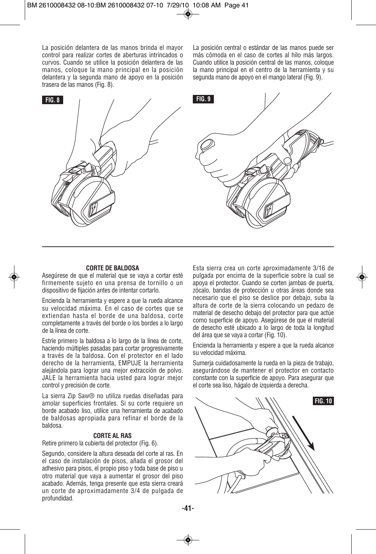La posición delantera de las manos brinda el mayor control para realizar cortes de aberturas intrincados o curvos. Cuando se utilice la posición delantera de las manos, coloque la mano principal en la posición delantera y la segunda mano de apoyo en la posición trasera de las manos (Fig. 8).

La posición central o estándar de las manos puede ser más cómoda en el caso de cortes al hilo más largos. Cuando utilice la posición central de las manos, coloque la mano principal en el centro de la herramienta y su segunda mano de apoyo en el mango lateral (Fig. 9).



#### **CORTE DE BALDOSA**

Asegúrese de que el material que se vaya a cortar esté firmemente sujeto en una prensa de tornillo o un dispositivo de fijación antes de intentar cortarlo.

Encienda la herramienta y espere a que la rueda alcance su velocidad máxima. En el caso de cortes que se extiendan hasta el borde de una baldosa, corte completamente a través del borde o los bordes a lo largo de la línea de corte.

Estríe primero la baldosa a lo largo de la línea de corte, haciendo múltiples pasadas para cortar progresivamente a través de la baldosa. Con el protector en el lado derecho de la herramienta, EMPUJE la herramienta alejándola para lograr una mejor extracción de polvo. JALE la herramienta hacia usted para lograr mejor control y precisión de corte.

La sierra Zip Saw® no utiliza ruedas diseñadas para amolar superficies frontales. Si su corte requiere un borde acabado liso, utilice una herramienta de acabado de baldosas apropiada para refinar el borde de la baldosa.

#### **CORTE AL RAS**

Retire primero la cubierta del protector (Fig. 6).

Segundo, considere la altura deseada del corte al ras. En el caso de instalación de pisos, añada el grosor del adhesivo para pisos, el propio piso y toda base de piso u otro material que vaya a aumentar el grosor del piso acabado. Además, tenga presente que esta sierra creará un corte de aproximadamente 3/4 de pulgada de profundidad.

Esta sierra crea un corte aproximadamente 3/16 de pulgada por encima de la superficie sobre la cual se apoya el protector. Cuando se corten jambas de puerta, zócalo, bandas de protección u otras áreas donde sea necesario que el piso se deslice por debajo, suba la altura de corte de la sierra colocando un pedazo de material de desecho debajo del protector para que actúe como superficie de apoyo. Asegúrese de que el material de desecho esté ubicado a lo largo de toda la longitud del área que se vaya a cortar (Fig. 10).

Encienda la herramienta y espere a que la rueda alcance su velocidad máxima.

Sumerja cuidadosamente la rueda en la pieza de trabajo, asegurándose de mantener el protector en contacto constante con la superficie de apoyo. Para asegurar que el corte sea liso, hágalo de izquierda a derecha.

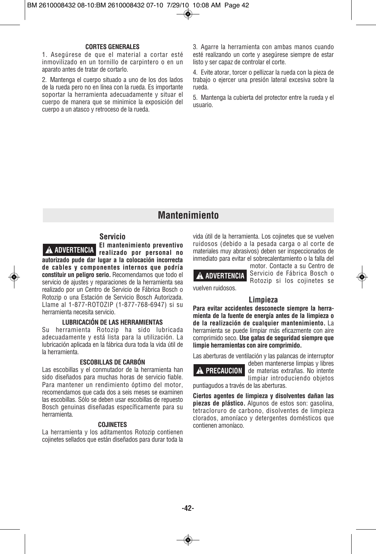#### **CORTES GENERALES**

1. Asegúrese de que el material a cortar esté inmovilizado en un tornillo de carpintero o en un aparato antes de tratar de cortarlo.

2. Mantenga el cuerpo situado a uno de los dos lados de la rueda pero no en línea con la rueda. Es importante soportar la herramienta adecuadamente y situar el cuerpo de manera que se minimice la exposición del cuerpo a un atasco y retroceso de la rueda.

3. Agarre la herramienta con ambas manos cuando esté realizando un corte y asegúrese siempre de estar listo y ser capaz de controlar el corte.

4. Evite atorar, torcer o pellizcar la rueda con la pieza de trabajo o ejercer una presión lateral excesiva sobre la rueda.

5. Mantenga la cubierta del protector entre la rueda y el usuario.

# **Mantenimiento**

### **Servicio**

**El mantenimiento preventivo A** ADVERTENCIA **realizado por personal no autorizado pude dar lugar a la colocación in correcta de cables y com ponentes internos que podría constituir un peligro serio.** Recomendamos que todo el servicio de ajustes y reparaciones de la herramienta sea realizado por un Centro de Servicio de Fábrica Bosch o Rotozip o una Estación de Servicio Bosch Autorizada. Llame al 1-877-ROTOZIP (1-877-768-6947) si su herramienta necesita servicio.

### **LUBRICACIÓN DE LAS HERRAMIENTAS**

Su herramienta Rotozip ha sido lubricada adecuadamente y está lista para la utilización. La lubricación aplicada en la fábrica dura toda la vida útil de la herramienta.

### **ESCOBILLAS DE CARBÓN**

Las escobillas y el conmutador de la herramienta han sido diseñados para muchas horas de servicio fiable. Para mantener un rendimiento óptimo del motor, recomendamos que cada dos a seis meses se examinen las escobillas. Sólo se deben usar escobillas de repuesto Bosch genuinas diseñadas específicamente para su herramienta.

#### **COJINETES**

La herramienta y los aditamentos Rotozip contienen cojinetes sellados que están diseñados para durar toda la vida útil de la herramienta. Los cojinetes que se vuelven ruidosos (debido a la pesada carga o al corte de materiales muy abrasivos) deben ser inspeccionados de inmediato para evitar el sobrecalentamiento o la falla del

**! ADVERTENCIA**

motor. Contacte a su Centro de Servicio de Fábrica Bosch o Rotozip si los cojinetes se

vuelven ruidosos.

#### **Limpieza**

Para evitar accidentes desconecte siempre la herra**mienta de la fuente de energía antes de la limpieza o** de la realización de cualquier mantenimiento. La herramienta se puede limpiar más eficazmente con aire comprimido seco. **Use gafas de segu ridad siempre que limpie herramientas con aire comprimido.**

Las aberturas de ventilación y las palancas de interruptor

**! PRECAUCION**

deben mantenerse limpias y libres de materias extrañas. No intente limpiar introduciendo objetos

puntiagudos a través de las aberturas.

Ciertos agentes de limpieza y disolventes dañan las **piezas de plástico.** Algunos de estos son: gasolina, tetracloruro de carbono, disolventes de limpieza clorados, amoníaco y detergentes domésticos que contienen amoníaco.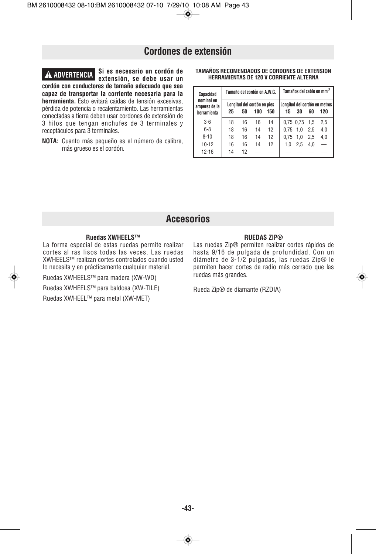# **Cordones de extensión**

# **! ADVERTENCIA**

**Si es necesario un cordón de extensión, se debe usar un**

**cordón con conductores de tamaño adecuado que sea capaz de transportar la corriente necesaria para la herramienta.** Esto evitará caídas de tensión excesivas, pérdida de potencia o recalentamiento. Las herramientas conectadas a tierra deben usar cordones de extensión de 3 hilos que tengan enchufes de 3 terminales y receptáculos para 3 terminales.

**NOTA:** Cuanto más pequeño es el número de calibre, más grueso es el cordón.

#### **TAMAÑOS RECOMENDADOS DE CORDONES DE EXTENSION HERRAMIENTAS DE 120 V CORRIENTE ALTERNA**

| Capacidad                                  | Tamaño del cordón en A.W.G. |    |                                    |     | Tamaños del cable en mm <sup>2</sup> |                   |     |                                      |
|--------------------------------------------|-----------------------------|----|------------------------------------|-----|--------------------------------------|-------------------|-----|--------------------------------------|
| nominal en<br>amperes de la<br>herramienta | 25                          | 50 | Longitud del cordón en pies<br>100 | 150 | 15                                   | 30                | 60  | Lonaitud del cordón en metros<br>120 |
| $3-6$                                      | 18                          | 16 | 16                                 | 14  |                                      | $0.75$ $0.75$ 1.5 |     | 2.5                                  |
| $6 - 8$                                    | 18                          | 16 | 14                                 | 12  | 0.75                                 | 1.0               | 2.5 | 4.0                                  |
| $8 - 10$                                   | 18                          | 16 | 14                                 | 12  | 0.75                                 | 1.0               | 2.5 | 4,0                                  |
| $10 - 12$                                  | 16                          | 16 | 14                                 | 12  | 1.0                                  | 2.5               | 4.0 |                                      |
| $12 - 16$                                  | 14                          | 12 |                                    |     |                                      |                   |     |                                      |

# **Accesorios**

#### **Ruedas XWHEELS™**

La forma especial de estas ruedas permite realizar cortes al ras lisos todas las veces. Las ruedas XWHEELS™ realizan cortes controlados cuando usted lo necesita y en prácticamente cualquier material.

Ruedas XWHEELS™ para madera (XW-WD)

Ruedas XWHEELS™ para baldosa (XW-TILE) Ruedas XWHEEL™ para metal (XW-MET)

#### **RUEDAS ZIP®**

Las ruedas Zip® permiten realizar cortes rápidos de hasta 9/16 de pulgada de profundidad. Con un diámetro de 3-1/2 pulgadas, las ruedas Zip® le permiten hacer cortes de radio más cerrado que las ruedas más grandes.

Rueda Zip® de diamante (RZDIA)